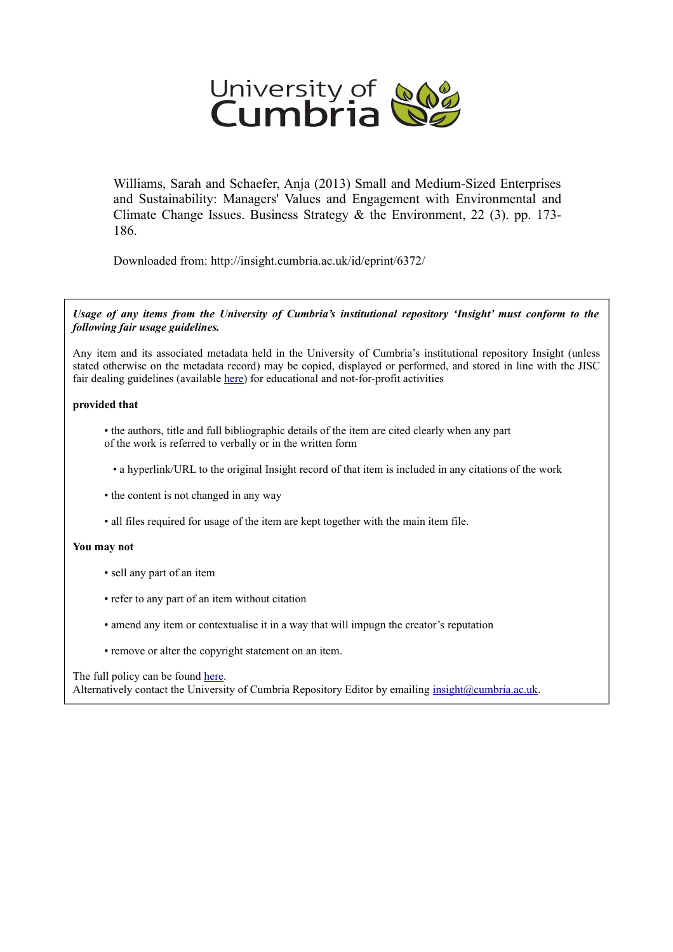

Williams, Sarah and Schaefer, Anja (2013) Small and Medium-Sized Enterprises and Sustainability: Managers' Values and Engagement with Environmental and Climate Change Issues. Business Strategy & the Environment, 22 (3). pp. 173- 186.

Downloaded from: http://insight.cumbria.ac.uk/id/eprint/6372/

*Usage of any items from the University of Cumbria's institutional repository 'Insight' must conform to the following fair usage guidelines.*

Any item and its associated metadata held in the University of Cumbria's institutional repository Insight (unless stated otherwise on the metadata record) may be copied, displayed or performed, and stored in line with the JISC fair dealing guidelines (available [here\)](http://www.ukoln.ac.uk/services/elib/papers/pa/fair/) for educational and not-for-profit activities

#### **provided that**

• the authors, title and full bibliographic details of the item are cited clearly when any part of the work is referred to verbally or in the written form

• a hyperlink/URL to the original Insight record of that item is included in any citations of the work

- the content is not changed in any way
- all files required for usage of the item are kept together with the main item file.

#### **You may not**

- sell any part of an item
- refer to any part of an item without citation
- amend any item or contextualise it in a way that will impugn the creator's reputation
- remove or alter the copyright statement on an item.

#### The full policy can be found [here.](http://insight.cumbria.ac.uk/legal.html#section5)

Alternatively contact the University of Cumbria Repository Editor by emailing [insight@cumbria.ac.uk.](mailto:insight@cumbria.ac.uk)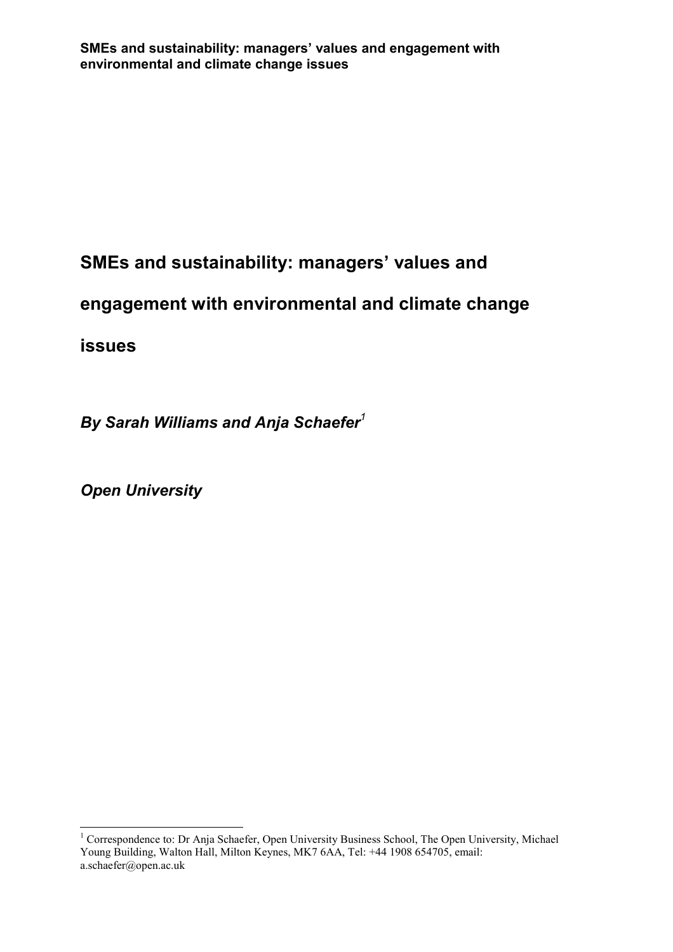# SMEs and sustainability: managers' values and

# engagement with environmental and climate change

issues

By Sarah Williams and Anja Schaefer $1$ 

Open University

<sup>&</sup>lt;sup>1</sup> Correspondence to: Dr Anja Schaefer, Open University Business School, The Open University, Michael Young Building, Walton Hall, Milton Keynes, MK7 6AA, Tel: +44 1908 654705, email: a.schaefer@open.ac.uk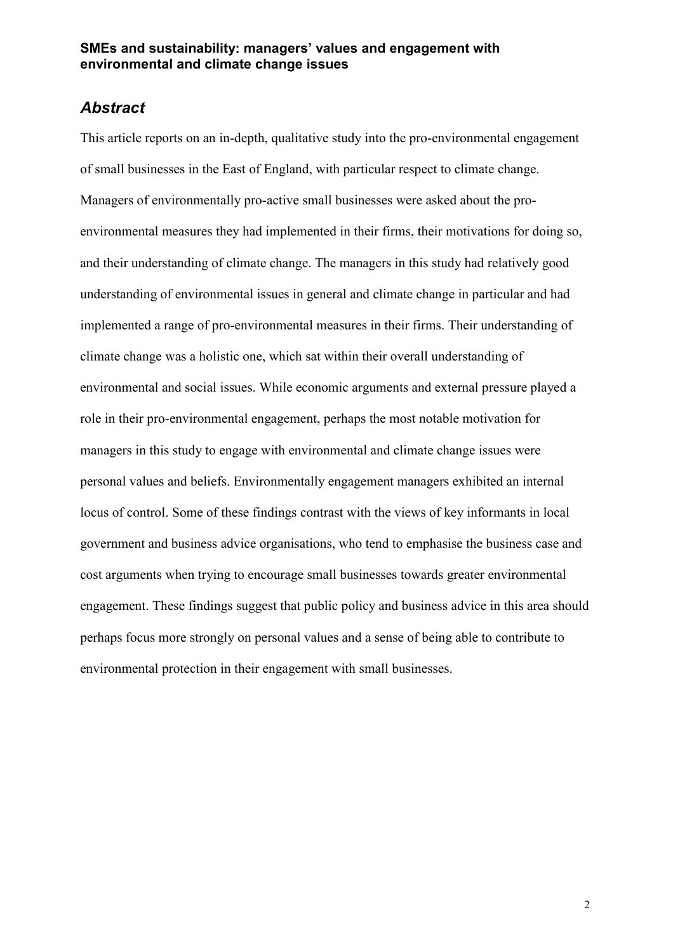# **Abstract**

This article reports on an in-depth, qualitative study into the pro-environmental engagement of small businesses in the East of England, with particular respect to climate change. Managers of environmentally pro-active small businesses were asked about the proenvironmental measures they had implemented in their firms, their motivations for doing so, and their understanding of climate change. The managers in this study had relatively good understanding of environmental issues in general and climate change in particular and had implemented a range of pro-environmental measures in their firms. Their understanding of climate change was a holistic one, which sat within their overall understanding of environmental and social issues. While economic arguments and external pressure played a role in their pro-environmental engagement, perhaps the most notable motivation for managers in this study to engage with environmental and climate change issues were personal values and beliefs. Environmentally engagement managers exhibited an internal locus of control. Some of these findings contrast with the views of key informants in local government and business advice organisations, who tend to emphasise the business case and cost arguments when trying to encourage small businesses towards greater environmental engagement. These findings suggest that public policy and business advice in this area should perhaps focus more strongly on personal values and a sense of being able to contribute to environmental protection in their engagement with small businesses.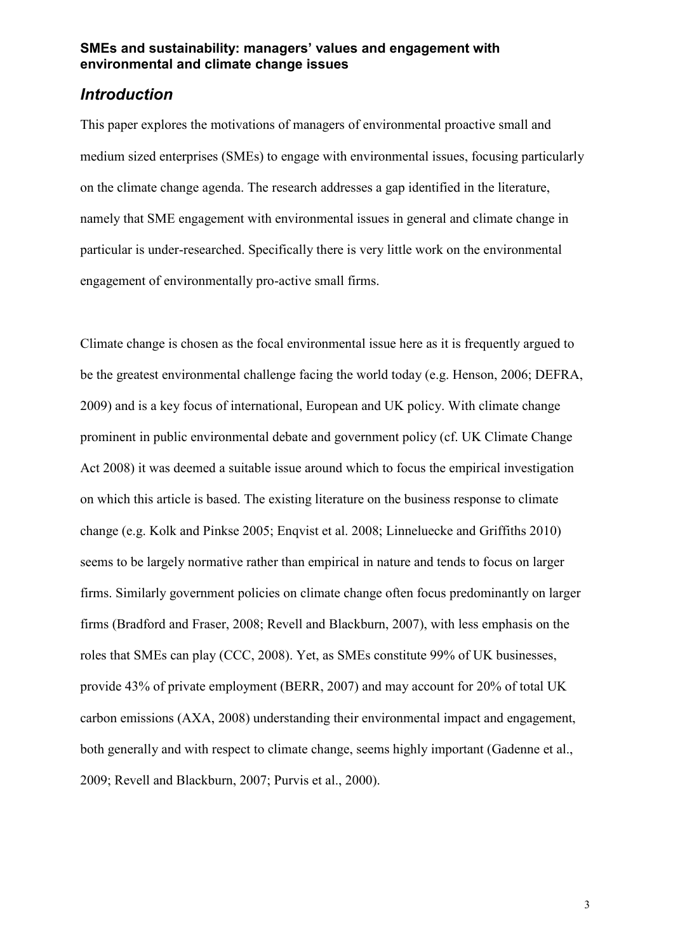# **Introduction**

This paper explores the motivations of managers of environmental proactive small and medium sized enterprises (SMEs) to engage with environmental issues, focusing particularly on the climate change agenda. The research addresses a gap identified in the literature, namely that SME engagement with environmental issues in general and climate change in particular is under-researched. Specifically there is very little work on the environmental engagement of environmentally pro-active small firms.

Climate change is chosen as the focal environmental issue here as it is frequently argued to be the greatest environmental challenge facing the world today (e.g. Henson, 2006; DEFRA, 2009) and is a key focus of international, European and UK policy. With climate change prominent in public environmental debate and government policy (cf. UK Climate Change Act 2008) it was deemed a suitable issue around which to focus the empirical investigation on which this article is based. The existing literature on the business response to climate change (e.g. Kolk and Pinkse 2005; Enqvist et al. 2008; Linneluecke and Griffiths 2010) seems to be largely normative rather than empirical in nature and tends to focus on larger firms. Similarly government policies on climate change often focus predominantly on larger firms (Bradford and Fraser, 2008; Revell and Blackburn, 2007), with less emphasis on the roles that SMEs can play (CCC, 2008). Yet, as SMEs constitute 99% of UK businesses, provide 43% of private employment (BERR, 2007) and may account for 20% of total UK carbon emissions (AXA, 2008) understanding their environmental impact and engagement, both generally and with respect to climate change, seems highly important (Gadenne et al., 2009; Revell and Blackburn, 2007; Purvis et al., 2000).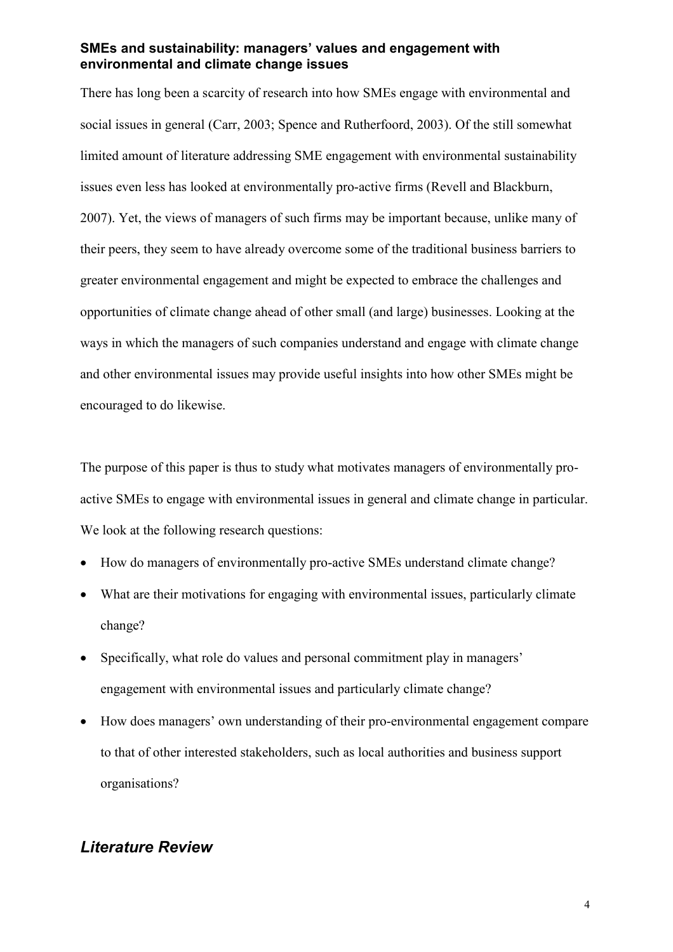There has long been a scarcity of research into how SMEs engage with environmental and social issues in general (Carr, 2003; Spence and Rutherfoord, 2003). Of the still somewhat limited amount of literature addressing SME engagement with environmental sustainability issues even less has looked at environmentally pro-active firms (Revell and Blackburn, 2007). Yet, the views of managers of such firms may be important because, unlike many of their peers, they seem to have already overcome some of the traditional business barriers to greater environmental engagement and might be expected to embrace the challenges and opportunities of climate change ahead of other small (and large) businesses. Looking at the ways in which the managers of such companies understand and engage with climate change and other environmental issues may provide useful insights into how other SMEs might be encouraged to do likewise.

The purpose of this paper is thus to study what motivates managers of environmentally proactive SMEs to engage with environmental issues in general and climate change in particular. We look at the following research questions:

- How do managers of environmentally pro-active SMEs understand climate change?
- What are their motivations for engaging with environmental issues, particularly climate change?
- Specifically, what role do values and personal commitment play in managers' engagement with environmental issues and particularly climate change?
- How does managers' own understanding of their pro-environmental engagement compare to that of other interested stakeholders, such as local authorities and business support organisations?

# Literature Review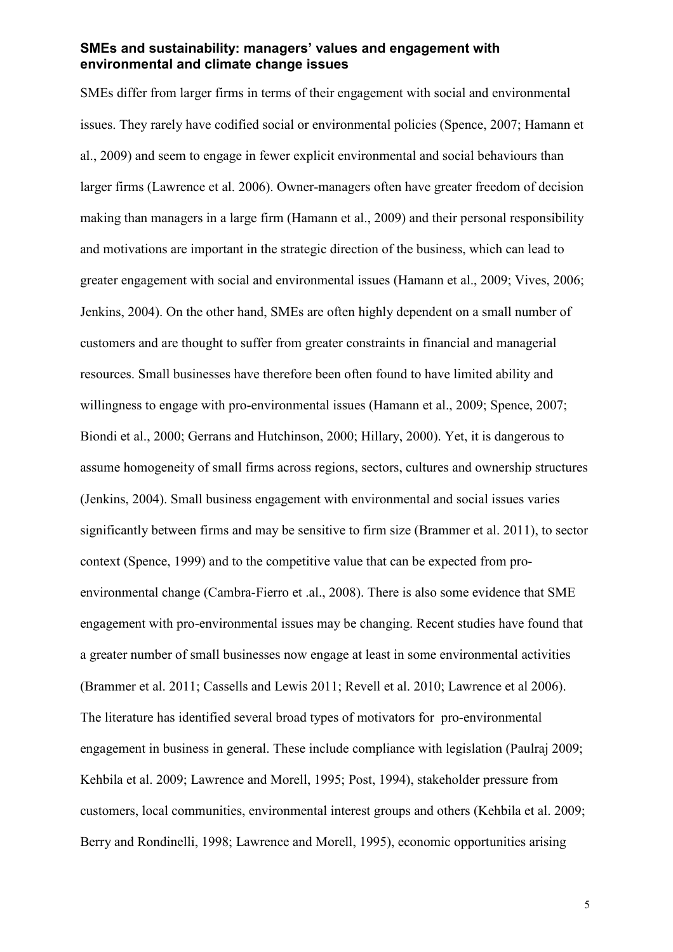SMEs differ from larger firms in terms of their engagement with social and environmental issues. They rarely have codified social or environmental policies (Spence, 2007; Hamann et al., 2009) and seem to engage in fewer explicit environmental and social behaviours than larger firms (Lawrence et al. 2006). Owner-managers often have greater freedom of decision making than managers in a large firm (Hamann et al., 2009) and their personal responsibility and motivations are important in the strategic direction of the business, which can lead to greater engagement with social and environmental issues (Hamann et al., 2009; Vives, 2006; Jenkins, 2004). On the other hand, SMEs are often highly dependent on a small number of customers and are thought to suffer from greater constraints in financial and managerial resources. Small businesses have therefore been often found to have limited ability and willingness to engage with pro-environmental issues (Hamann et al., 2009; Spence, 2007; Biondi et al., 2000; Gerrans and Hutchinson, 2000; Hillary, 2000). Yet, it is dangerous to assume homogeneity of small firms across regions, sectors, cultures and ownership structures (Jenkins, 2004). Small business engagement with environmental and social issues varies significantly between firms and may be sensitive to firm size (Brammer et al. 2011), to sector context (Spence, 1999) and to the competitive value that can be expected from proenvironmental change (Cambra-Fierro et .al., 2008). There is also some evidence that SME engagement with pro-environmental issues may be changing. Recent studies have found that a greater number of small businesses now engage at least in some environmental activities (Brammer et al. 2011; Cassells and Lewis 2011; Revell et al. 2010; Lawrence et al 2006). The literature has identified several broad types of motivators for pro-environmental engagement in business in general. These include compliance with legislation (Paulraj 2009; Kehbila et al. 2009; Lawrence and Morell, 1995; Post, 1994), stakeholder pressure from customers, local communities, environmental interest groups and others (Kehbila et al. 2009; Berry and Rondinelli, 1998; Lawrence and Morell, 1995), economic opportunities arising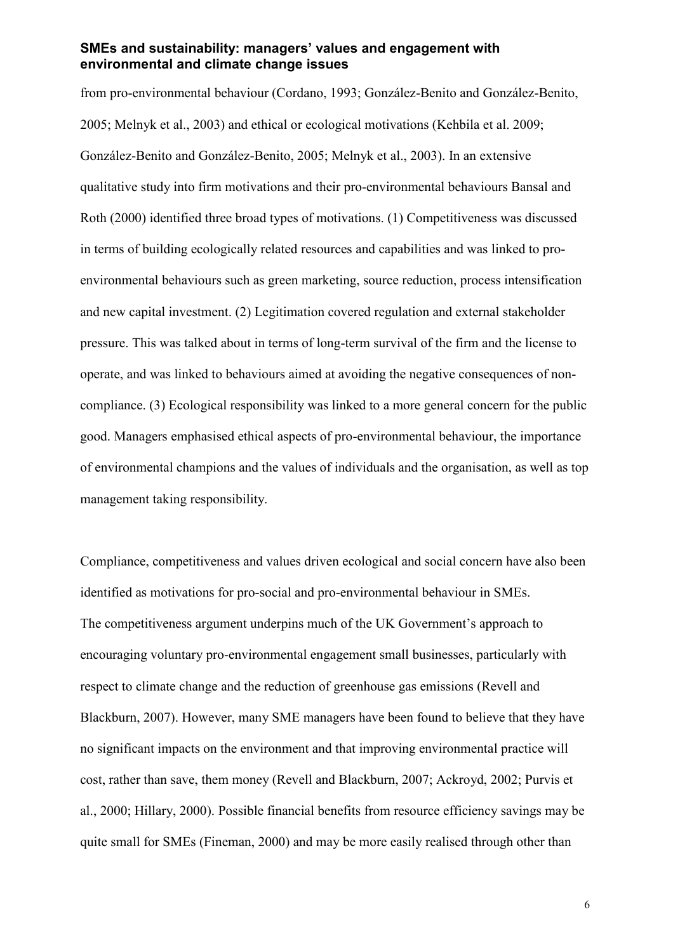from pro-environmental behaviour (Cordano, 1993; González-Benito and González-Benito, 2005; Melnyk et al., 2003) and ethical or ecological motivations (Kehbila et al. 2009; González-Benito and González-Benito, 2005; Melnyk et al., 2003). In an extensive qualitative study into firm motivations and their pro-environmental behaviours Bansal and Roth (2000) identified three broad types of motivations. (1) Competitiveness was discussed in terms of building ecologically related resources and capabilities and was linked to proenvironmental behaviours such as green marketing, source reduction, process intensification and new capital investment. (2) Legitimation covered regulation and external stakeholder pressure. This was talked about in terms of long-term survival of the firm and the license to operate, and was linked to behaviours aimed at avoiding the negative consequences of noncompliance. (3) Ecological responsibility was linked to a more general concern for the public good. Managers emphasised ethical aspects of pro-environmental behaviour, the importance of environmental champions and the values of individuals and the organisation, as well as top management taking responsibility.

Compliance, competitiveness and values driven ecological and social concern have also been identified as motivations for pro-social and pro-environmental behaviour in SMEs. The competitiveness argument underpins much of the UK Government's approach to encouraging voluntary pro-environmental engagement small businesses, particularly with respect to climate change and the reduction of greenhouse gas emissions (Revell and Blackburn, 2007). However, many SME managers have been found to believe that they have no significant impacts on the environment and that improving environmental practice will cost, rather than save, them money (Revell and Blackburn, 2007; Ackroyd, 2002; Purvis et al., 2000; Hillary, 2000). Possible financial benefits from resource efficiency savings may be quite small for SMEs (Fineman, 2000) and may be more easily realised through other than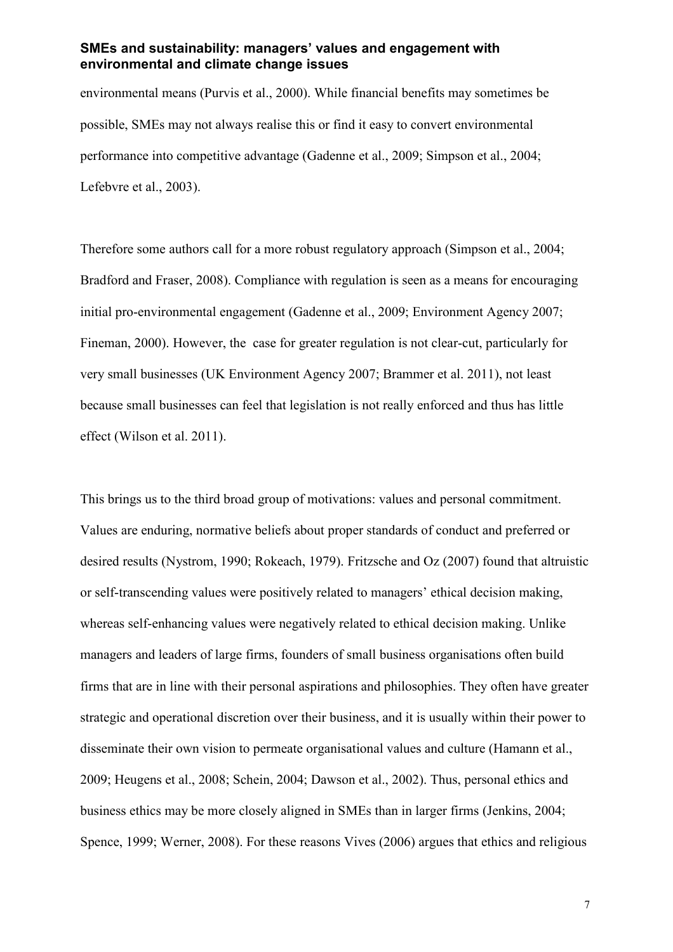environmental means (Purvis et al., 2000). While financial benefits may sometimes be possible, SMEs may not always realise this or find it easy to convert environmental performance into competitive advantage (Gadenne et al., 2009; Simpson et al., 2004; Lefebvre et al., 2003).

Therefore some authors call for a more robust regulatory approach (Simpson et al., 2004; Bradford and Fraser, 2008). Compliance with regulation is seen as a means for encouraging initial pro-environmental engagement (Gadenne et al., 2009; Environment Agency 2007; Fineman, 2000). However, the case for greater regulation is not clear-cut, particularly for very small businesses (UK Environment Agency 2007; Brammer et al. 2011), not least because small businesses can feel that legislation is not really enforced and thus has little effect (Wilson et al. 2011).

This brings us to the third broad group of motivations: values and personal commitment. Values are enduring, normative beliefs about proper standards of conduct and preferred or desired results (Nystrom, 1990; Rokeach, 1979). Fritzsche and Oz (2007) found that altruistic or self-transcending values were positively related to managers' ethical decision making, whereas self-enhancing values were negatively related to ethical decision making. Unlike managers and leaders of large firms, founders of small business organisations often build firms that are in line with their personal aspirations and philosophies. They often have greater strategic and operational discretion over their business, and it is usually within their power to disseminate their own vision to permeate organisational values and culture (Hamann et al., 2009; Heugens et al., 2008; Schein, 2004; Dawson et al., 2002). Thus, personal ethics and business ethics may be more closely aligned in SMEs than in larger firms (Jenkins, 2004; Spence, 1999; Werner, 2008). For these reasons Vives (2006) argues that ethics and religious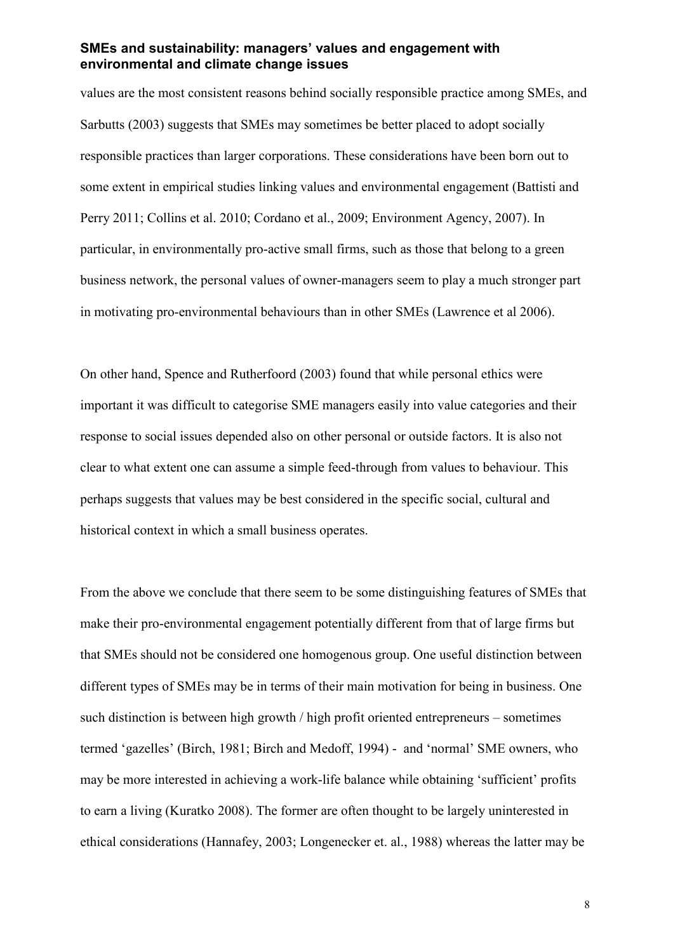values are the most consistent reasons behind socially responsible practice among SMEs, and Sarbutts (2003) suggests that SMEs may sometimes be better placed to adopt socially responsible practices than larger corporations. These considerations have been born out to some extent in empirical studies linking values and environmental engagement (Battisti and Perry 2011; Collins et al. 2010; Cordano et al., 2009; Environment Agency, 2007). In particular, in environmentally pro-active small firms, such as those that belong to a green business network, the personal values of owner-managers seem to play a much stronger part in motivating pro-environmental behaviours than in other SMEs (Lawrence et al 2006).

On other hand, Spence and Rutherfoord (2003) found that while personal ethics were important it was difficult to categorise SME managers easily into value categories and their response to social issues depended also on other personal or outside factors. It is also not clear to what extent one can assume a simple feed-through from values to behaviour. This perhaps suggests that values may be best considered in the specific social, cultural and historical context in which a small business operates.

From the above we conclude that there seem to be some distinguishing features of SMEs that make their pro-environmental engagement potentially different from that of large firms but that SMEs should not be considered one homogenous group. One useful distinction between different types of SMEs may be in terms of their main motivation for being in business. One such distinction is between high growth / high profit oriented entrepreneurs – sometimes termed 'gazelles' (Birch, 1981; Birch and Medoff, 1994) - and 'normal' SME owners, who may be more interested in achieving a work-life balance while obtaining 'sufficient' profits to earn a living (Kuratko 2008). The former are often thought to be largely uninterested in ethical considerations (Hannafey, 2003; Longenecker et. al., 1988) whereas the latter may be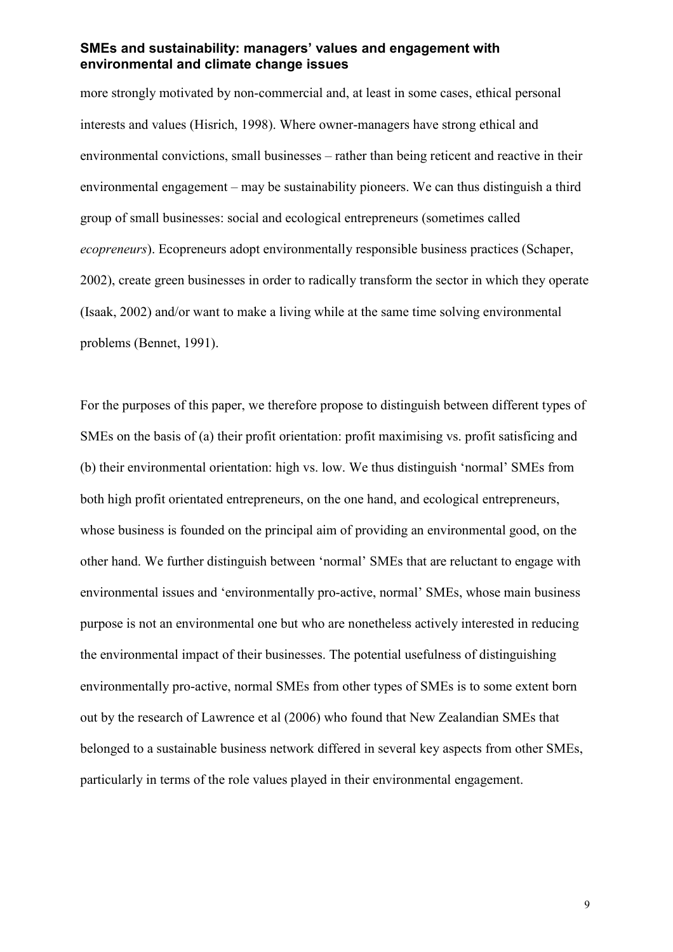more strongly motivated by non-commercial and, at least in some cases, ethical personal interests and values (Hisrich, 1998). Where owner-managers have strong ethical and environmental convictions, small businesses – rather than being reticent and reactive in their environmental engagement – may be sustainability pioneers. We can thus distinguish a third group of small businesses: social and ecological entrepreneurs (sometimes called ecopreneurs). Ecopreneurs adopt environmentally responsible business practices (Schaper, 2002), create green businesses in order to radically transform the sector in which they operate (Isaak, 2002) and/or want to make a living while at the same time solving environmental problems (Bennet, 1991).

For the purposes of this paper, we therefore propose to distinguish between different types of SMEs on the basis of (a) their profit orientation: profit maximising vs. profit satisficing and (b) their environmental orientation: high vs. low. We thus distinguish 'normal' SMEs from both high profit orientated entrepreneurs, on the one hand, and ecological entrepreneurs, whose business is founded on the principal aim of providing an environmental good, on the other hand. We further distinguish between 'normal' SMEs that are reluctant to engage with environmental issues and 'environmentally pro-active, normal' SMEs, whose main business purpose is not an environmental one but who are nonetheless actively interested in reducing the environmental impact of their businesses. The potential usefulness of distinguishing environmentally pro-active, normal SMEs from other types of SMEs is to some extent born out by the research of Lawrence et al (2006) who found that New Zealandian SMEs that belonged to a sustainable business network differed in several key aspects from other SMEs, particularly in terms of the role values played in their environmental engagement.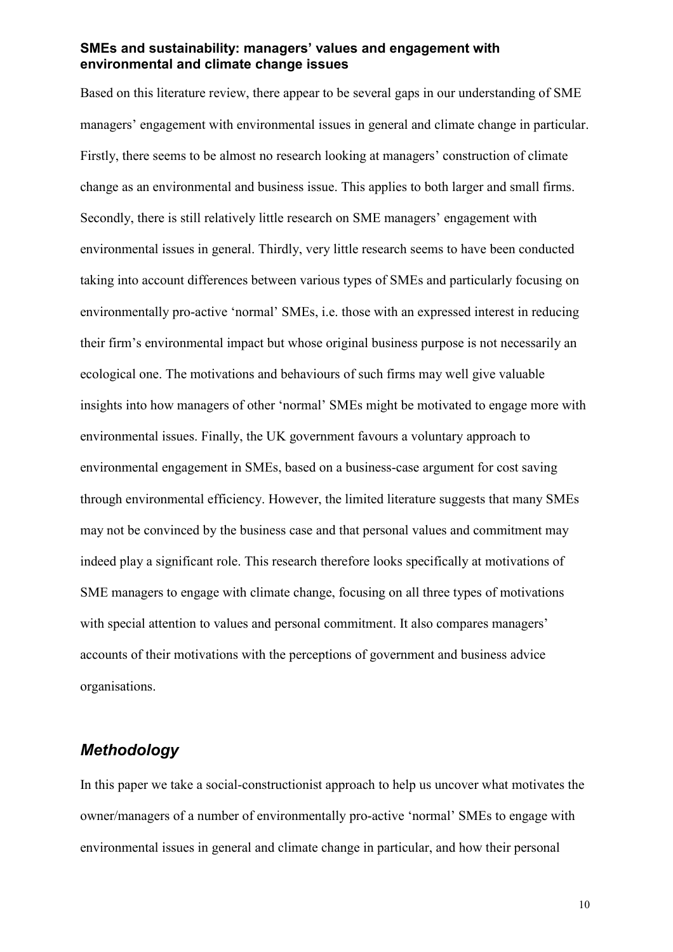Based on this literature review, there appear to be several gaps in our understanding of SME managers' engagement with environmental issues in general and climate change in particular. Firstly, there seems to be almost no research looking at managers' construction of climate change as an environmental and business issue. This applies to both larger and small firms. Secondly, there is still relatively little research on SME managers' engagement with environmental issues in general. Thirdly, very little research seems to have been conducted taking into account differences between various types of SMEs and particularly focusing on environmentally pro-active 'normal' SMEs, i.e. those with an expressed interest in reducing their firm's environmental impact but whose original business purpose is not necessarily an ecological one. The motivations and behaviours of such firms may well give valuable insights into how managers of other 'normal' SMEs might be motivated to engage more with environmental issues. Finally, the UK government favours a voluntary approach to environmental engagement in SMEs, based on a business-case argument for cost saving through environmental efficiency. However, the limited literature suggests that many SMEs may not be convinced by the business case and that personal values and commitment may indeed play a significant role. This research therefore looks specifically at motivations of SME managers to engage with climate change, focusing on all three types of motivations with special attention to values and personal commitment. It also compares managers' accounts of their motivations with the perceptions of government and business advice organisations.

# Methodology

In this paper we take a social-constructionist approach to help us uncover what motivates the owner/managers of a number of environmentally pro-active 'normal' SMEs to engage with environmental issues in general and climate change in particular, and how their personal

10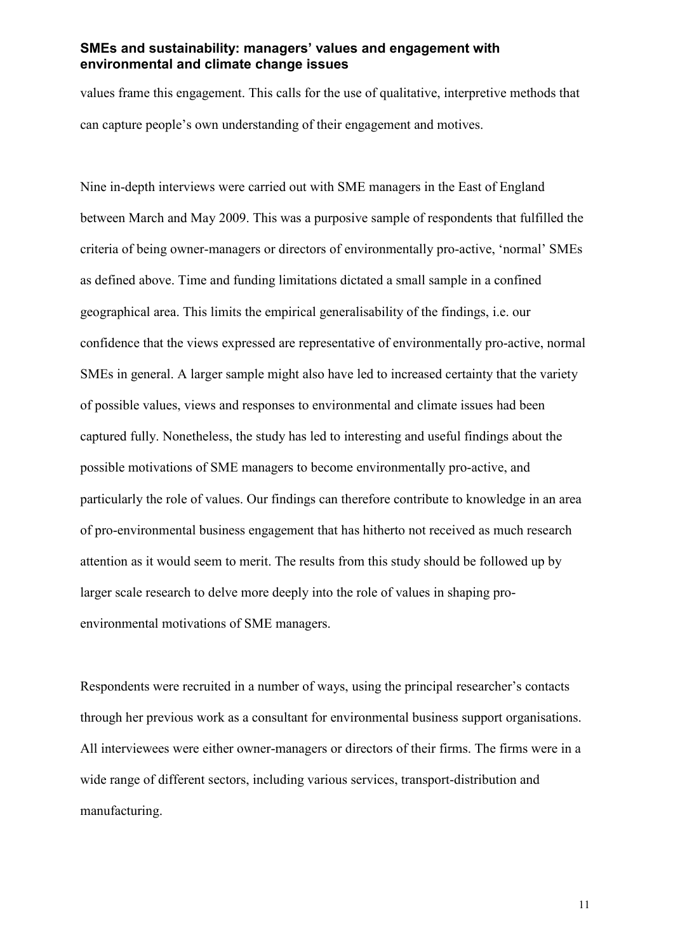values frame this engagement. This calls for the use of qualitative, interpretive methods that can capture people's own understanding of their engagement and motives.

Nine in-depth interviews were carried out with SME managers in the East of England between March and May 2009. This was a purposive sample of respondents that fulfilled the criteria of being owner-managers or directors of environmentally pro-active, 'normal' SMEs as defined above. Time and funding limitations dictated a small sample in a confined geographical area. This limits the empirical generalisability of the findings, i.e. our confidence that the views expressed are representative of environmentally pro-active, normal SMEs in general. A larger sample might also have led to increased certainty that the variety of possible values, views and responses to environmental and climate issues had been captured fully. Nonetheless, the study has led to interesting and useful findings about the possible motivations of SME managers to become environmentally pro-active, and particularly the role of values. Our findings can therefore contribute to knowledge in an area of pro-environmental business engagement that has hitherto not received as much research attention as it would seem to merit. The results from this study should be followed up by larger scale research to delve more deeply into the role of values in shaping proenvironmental motivations of SME managers.

Respondents were recruited in a number of ways, using the principal researcher's contacts through her previous work as a consultant for environmental business support organisations. All interviewees were either owner-managers or directors of their firms. The firms were in a wide range of different sectors, including various services, transport-distribution and manufacturing.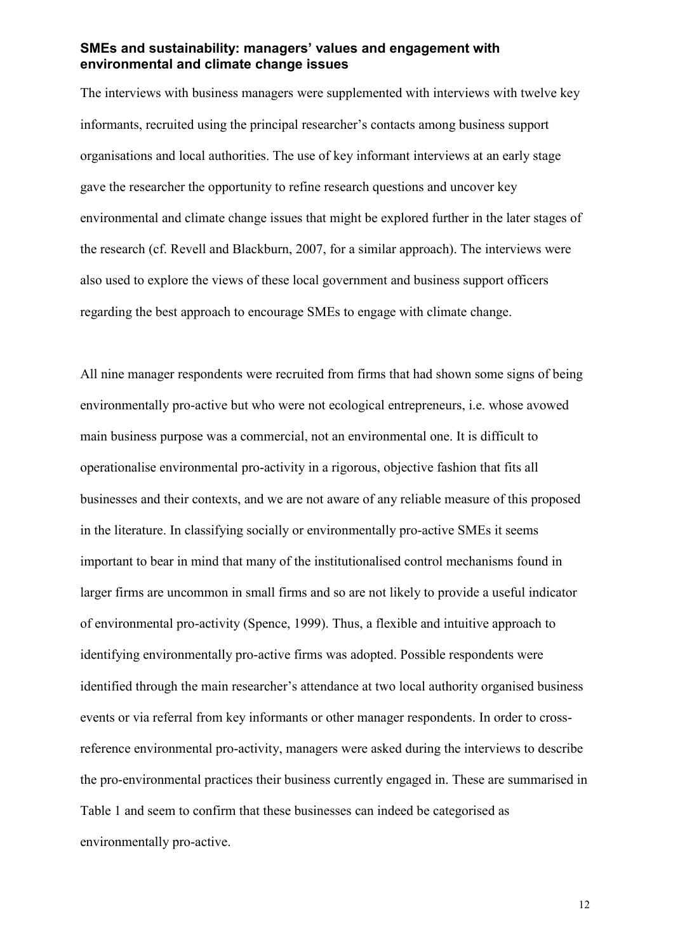The interviews with business managers were supplemented with interviews with twelve key informants, recruited using the principal researcher's contacts among business support organisations and local authorities. The use of key informant interviews at an early stage gave the researcher the opportunity to refine research questions and uncover key environmental and climate change issues that might be explored further in the later stages of the research (cf. Revell and Blackburn, 2007, for a similar approach). The interviews were also used to explore the views of these local government and business support officers regarding the best approach to encourage SMEs to engage with climate change.

All nine manager respondents were recruited from firms that had shown some signs of being environmentally pro-active but who were not ecological entrepreneurs, i.e. whose avowed main business purpose was a commercial, not an environmental one. It is difficult to operationalise environmental pro-activity in a rigorous, objective fashion that fits all businesses and their contexts, and we are not aware of any reliable measure of this proposed in the literature. In classifying socially or environmentally pro-active SMEs it seems important to bear in mind that many of the institutionalised control mechanisms found in larger firms are uncommon in small firms and so are not likely to provide a useful indicator of environmental pro-activity (Spence, 1999). Thus, a flexible and intuitive approach to identifying environmentally pro-active firms was adopted. Possible respondents were identified through the main researcher's attendance at two local authority organised business events or via referral from key informants or other manager respondents. In order to crossreference environmental pro-activity, managers were asked during the interviews to describe the pro-environmental practices their business currently engaged in. These are summarised in Table 1 and seem to confirm that these businesses can indeed be categorised as environmentally pro-active.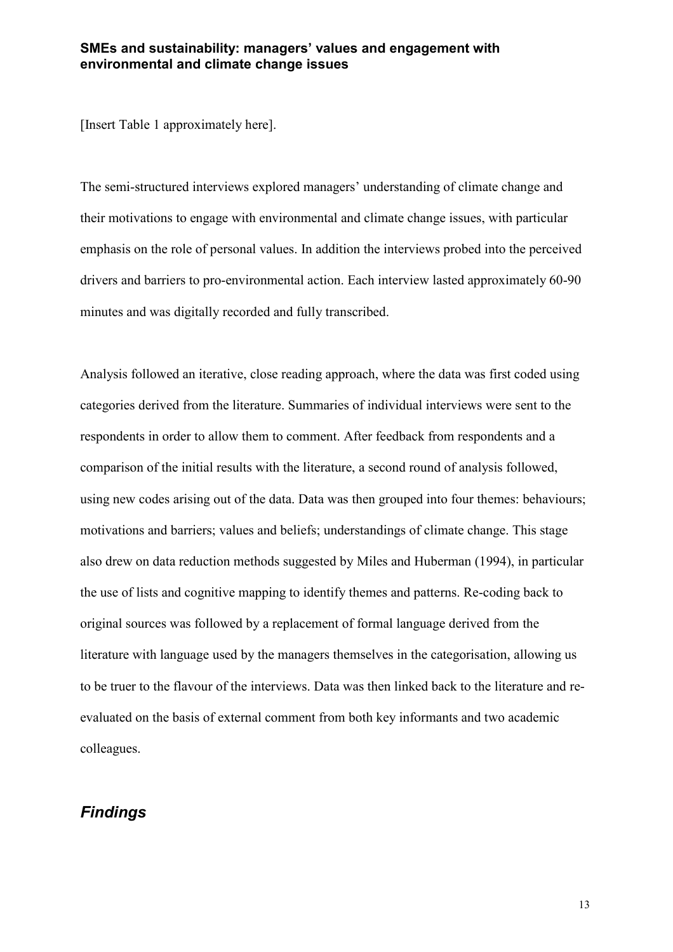[Insert Table 1 approximately here].

The semi-structured interviews explored managers' understanding of climate change and their motivations to engage with environmental and climate change issues, with particular emphasis on the role of personal values. In addition the interviews probed into the perceived drivers and barriers to pro-environmental action. Each interview lasted approximately 60-90 minutes and was digitally recorded and fully transcribed.

Analysis followed an iterative, close reading approach, where the data was first coded using categories derived from the literature. Summaries of individual interviews were sent to the respondents in order to allow them to comment. After feedback from respondents and a comparison of the initial results with the literature, a second round of analysis followed, using new codes arising out of the data. Data was then grouped into four themes: behaviours; motivations and barriers; values and beliefs; understandings of climate change. This stage also drew on data reduction methods suggested by Miles and Huberman (1994), in particular the use of lists and cognitive mapping to identify themes and patterns. Re-coding back to original sources was followed by a replacement of formal language derived from the literature with language used by the managers themselves in the categorisation, allowing us to be truer to the flavour of the interviews. Data was then linked back to the literature and reevaluated on the basis of external comment from both key informants and two academic colleagues.

# Findings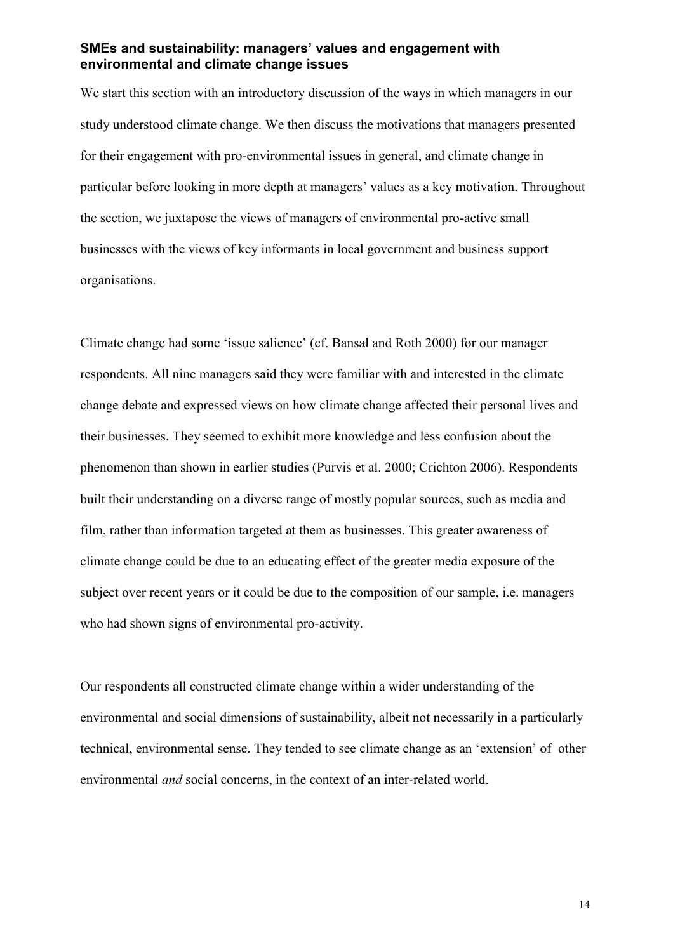We start this section with an introductory discussion of the ways in which managers in our study understood climate change. We then discuss the motivations that managers presented for their engagement with pro-environmental issues in general, and climate change in particular before looking in more depth at managers' values as a key motivation. Throughout the section, we juxtapose the views of managers of environmental pro-active small businesses with the views of key informants in local government and business support organisations.

Climate change had some 'issue salience' (cf. Bansal and Roth 2000) for our manager respondents. All nine managers said they were familiar with and interested in the climate change debate and expressed views on how climate change affected their personal lives and their businesses. They seemed to exhibit more knowledge and less confusion about the phenomenon than shown in earlier studies (Purvis et al. 2000; Crichton 2006). Respondents built their understanding on a diverse range of mostly popular sources, such as media and film, rather than information targeted at them as businesses. This greater awareness of climate change could be due to an educating effect of the greater media exposure of the subject over recent years or it could be due to the composition of our sample, i.e. managers who had shown signs of environmental pro-activity.

Our respondents all constructed climate change within a wider understanding of the environmental and social dimensions of sustainability, albeit not necessarily in a particularly technical, environmental sense. They tended to see climate change as an 'extension' of other environmental and social concerns, in the context of an inter-related world.

14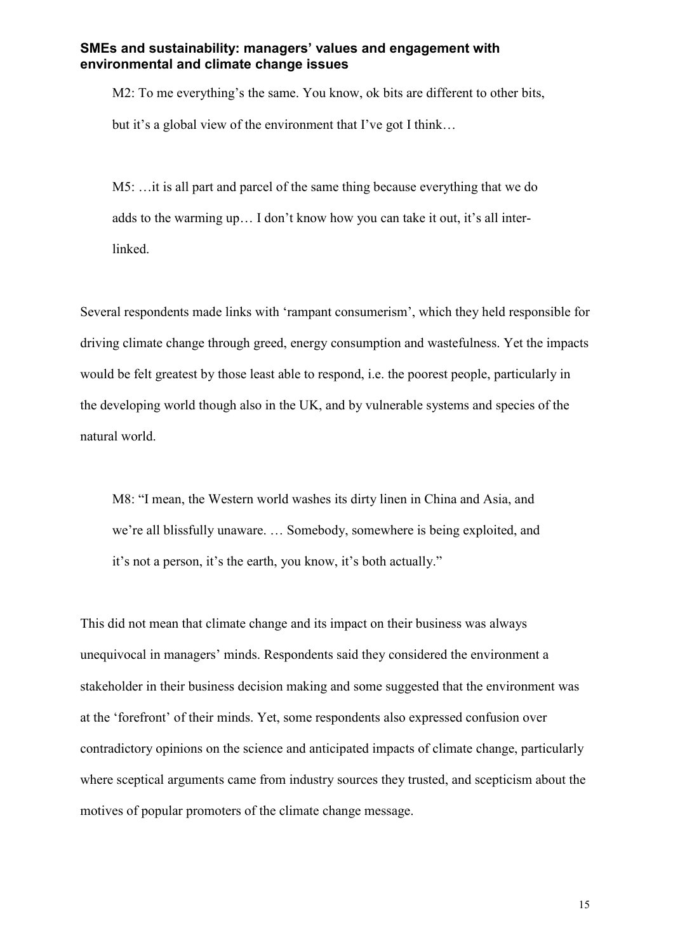M2: To me everything's the same. You know, ok bits are different to other bits, but it's a global view of the environment that I've got I think…

M5: …it is all part and parcel of the same thing because everything that we do adds to the warming up… I don't know how you can take it out, it's all interlinked.

Several respondents made links with 'rampant consumerism', which they held responsible for driving climate change through greed, energy consumption and wastefulness. Yet the impacts would be felt greatest by those least able to respond, i.e. the poorest people, particularly in the developing world though also in the UK, and by vulnerable systems and species of the natural world.

M8: "I mean, the Western world washes its dirty linen in China and Asia, and we're all blissfully unaware. … Somebody, somewhere is being exploited, and it's not a person, it's the earth, you know, it's both actually."

This did not mean that climate change and its impact on their business was always unequivocal in managers' minds. Respondents said they considered the environment a stakeholder in their business decision making and some suggested that the environment was at the 'forefront' of their minds. Yet, some respondents also expressed confusion over contradictory opinions on the science and anticipated impacts of climate change, particularly where sceptical arguments came from industry sources they trusted, and scepticism about the motives of popular promoters of the climate change message.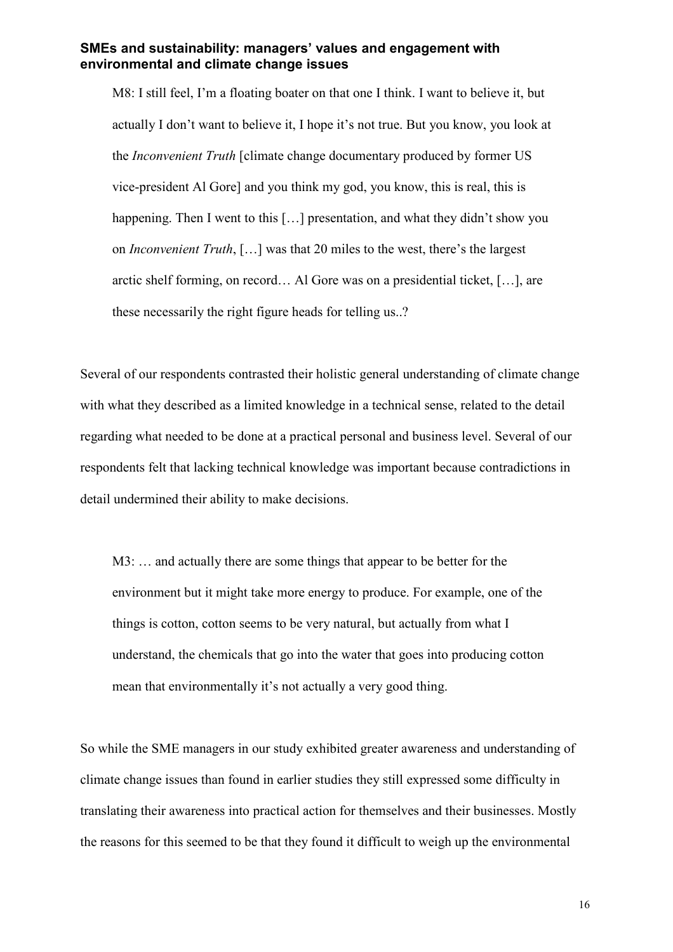M8: I still feel, I'm a floating boater on that one I think. I want to believe it, but actually I don't want to believe it, I hope it's not true. But you know, you look at the Inconvenient Truth [climate change documentary produced by former US vice-president Al Gore] and you think my god, you know, this is real, this is happening. Then I went to this [...] presentation, and what they didn't show you on Inconvenient Truth, […] was that 20 miles to the west, there's the largest arctic shelf forming, on record… Al Gore was on a presidential ticket, […], are these necessarily the right figure heads for telling us..?

Several of our respondents contrasted their holistic general understanding of climate change with what they described as a limited knowledge in a technical sense, related to the detail regarding what needed to be done at a practical personal and business level. Several of our respondents felt that lacking technical knowledge was important because contradictions in detail undermined their ability to make decisions.

M3: … and actually there are some things that appear to be better for the environment but it might take more energy to produce. For example, one of the things is cotton, cotton seems to be very natural, but actually from what I understand, the chemicals that go into the water that goes into producing cotton mean that environmentally it's not actually a very good thing.

So while the SME managers in our study exhibited greater awareness and understanding of climate change issues than found in earlier studies they still expressed some difficulty in translating their awareness into practical action for themselves and their businesses. Mostly the reasons for this seemed to be that they found it difficult to weigh up the environmental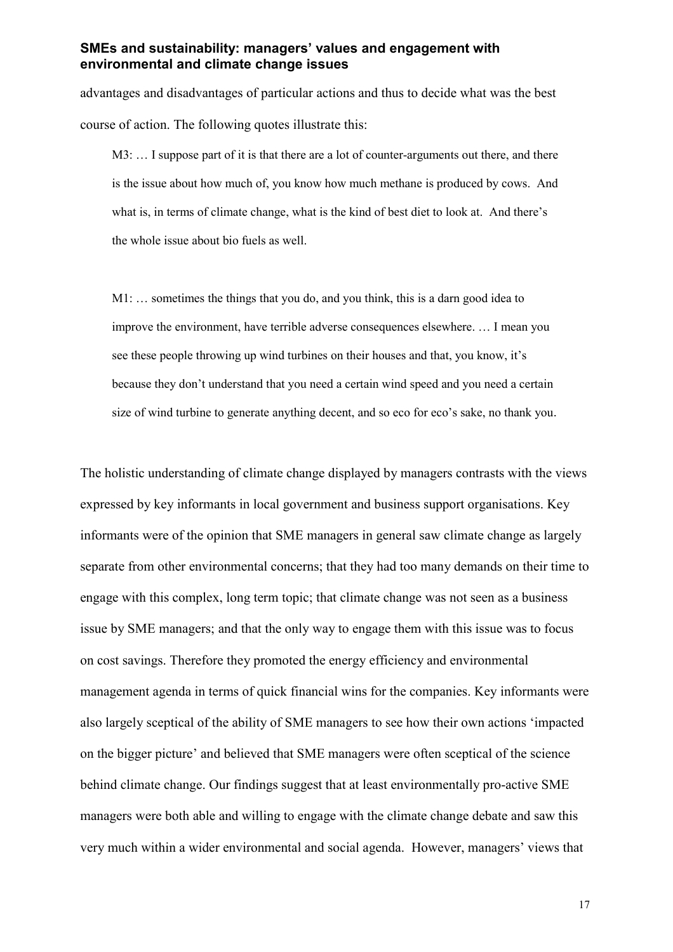advantages and disadvantages of particular actions and thus to decide what was the best course of action. The following quotes illustrate this:

M3: ... I suppose part of it is that there are a lot of counter-arguments out there, and there is the issue about how much of, you know how much methane is produced by cows. And what is, in terms of climate change, what is the kind of best diet to look at. And there's the whole issue about bio fuels as well.

M1: ... sometimes the things that you do, and you think, this is a darn good idea to improve the environment, have terrible adverse consequences elsewhere. … I mean you see these people throwing up wind turbines on their houses and that, you know, it's because they don't understand that you need a certain wind speed and you need a certain size of wind turbine to generate anything decent, and so eco for eco's sake, no thank you.

The holistic understanding of climate change displayed by managers contrasts with the views expressed by key informants in local government and business support organisations. Key informants were of the opinion that SME managers in general saw climate change as largely separate from other environmental concerns; that they had too many demands on their time to engage with this complex, long term topic; that climate change was not seen as a business issue by SME managers; and that the only way to engage them with this issue was to focus on cost savings. Therefore they promoted the energy efficiency and environmental management agenda in terms of quick financial wins for the companies. Key informants were also largely sceptical of the ability of SME managers to see how their own actions 'impacted on the bigger picture' and believed that SME managers were often sceptical of the science behind climate change. Our findings suggest that at least environmentally pro-active SME managers were both able and willing to engage with the climate change debate and saw this very much within a wider environmental and social agenda. However, managers' views that

17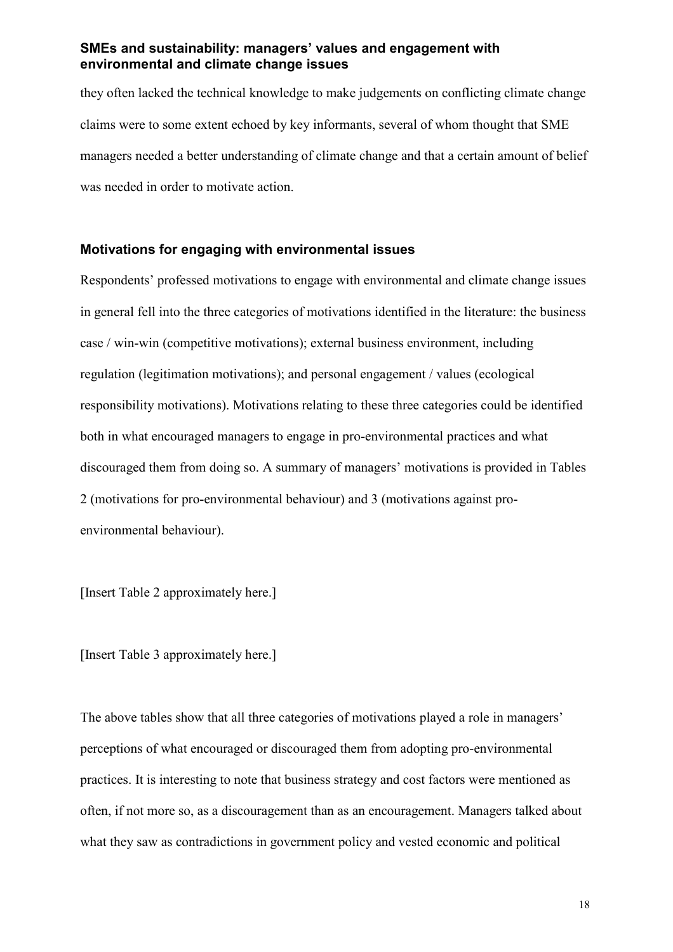they often lacked the technical knowledge to make judgements on conflicting climate change claims were to some extent echoed by key informants, several of whom thought that SME managers needed a better understanding of climate change and that a certain amount of belief was needed in order to motivate action.

#### Motivations for engaging with environmental issues

Respondents' professed motivations to engage with environmental and climate change issues in general fell into the three categories of motivations identified in the literature: the business case / win-win (competitive motivations); external business environment, including regulation (legitimation motivations); and personal engagement / values (ecological responsibility motivations). Motivations relating to these three categories could be identified both in what encouraged managers to engage in pro-environmental practices and what discouraged them from doing so. A summary of managers' motivations is provided in Tables 2 (motivations for pro-environmental behaviour) and 3 (motivations against proenvironmental behaviour).

[Insert Table 2 approximately here.]

[Insert Table 3 approximately here.]

The above tables show that all three categories of motivations played a role in managers' perceptions of what encouraged or discouraged them from adopting pro-environmental practices. It is interesting to note that business strategy and cost factors were mentioned as often, if not more so, as a discouragement than as an encouragement. Managers talked about what they saw as contradictions in government policy and vested economic and political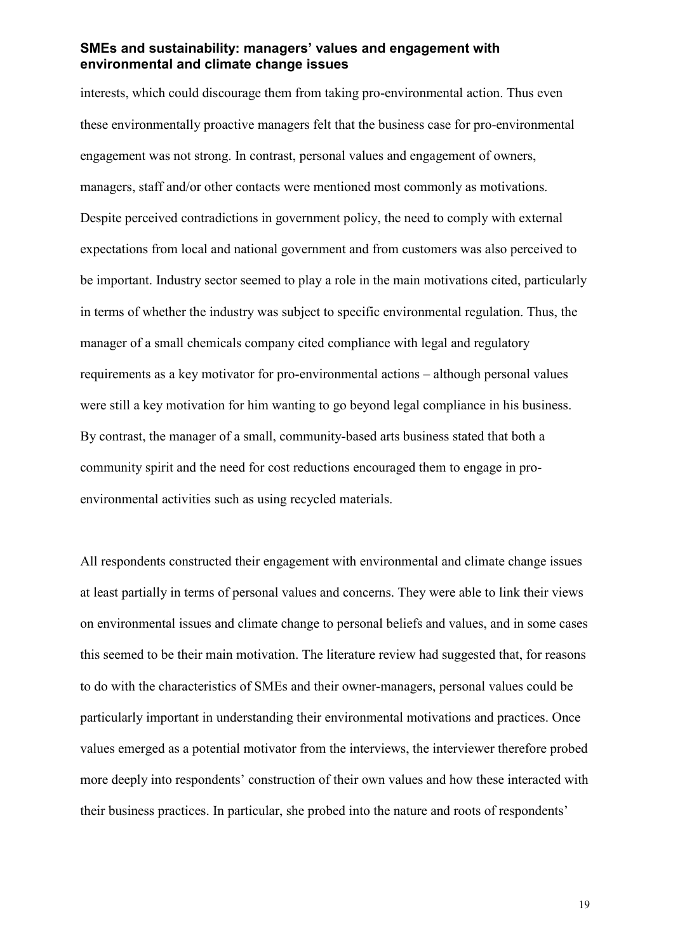interests, which could discourage them from taking pro-environmental action. Thus even these environmentally proactive managers felt that the business case for pro-environmental engagement was not strong. In contrast, personal values and engagement of owners, managers, staff and/or other contacts were mentioned most commonly as motivations. Despite perceived contradictions in government policy, the need to comply with external expectations from local and national government and from customers was also perceived to be important. Industry sector seemed to play a role in the main motivations cited, particularly in terms of whether the industry was subject to specific environmental regulation. Thus, the manager of a small chemicals company cited compliance with legal and regulatory requirements as a key motivator for pro-environmental actions – although personal values were still a key motivation for him wanting to go beyond legal compliance in his business. By contrast, the manager of a small, community-based arts business stated that both a community spirit and the need for cost reductions encouraged them to engage in proenvironmental activities such as using recycled materials.

All respondents constructed their engagement with environmental and climate change issues at least partially in terms of personal values and concerns. They were able to link their views on environmental issues and climate change to personal beliefs and values, and in some cases this seemed to be their main motivation. The literature review had suggested that, for reasons to do with the characteristics of SMEs and their owner-managers, personal values could be particularly important in understanding their environmental motivations and practices. Once values emerged as a potential motivator from the interviews, the interviewer therefore probed more deeply into respondents' construction of their own values and how these interacted with their business practices. In particular, she probed into the nature and roots of respondents'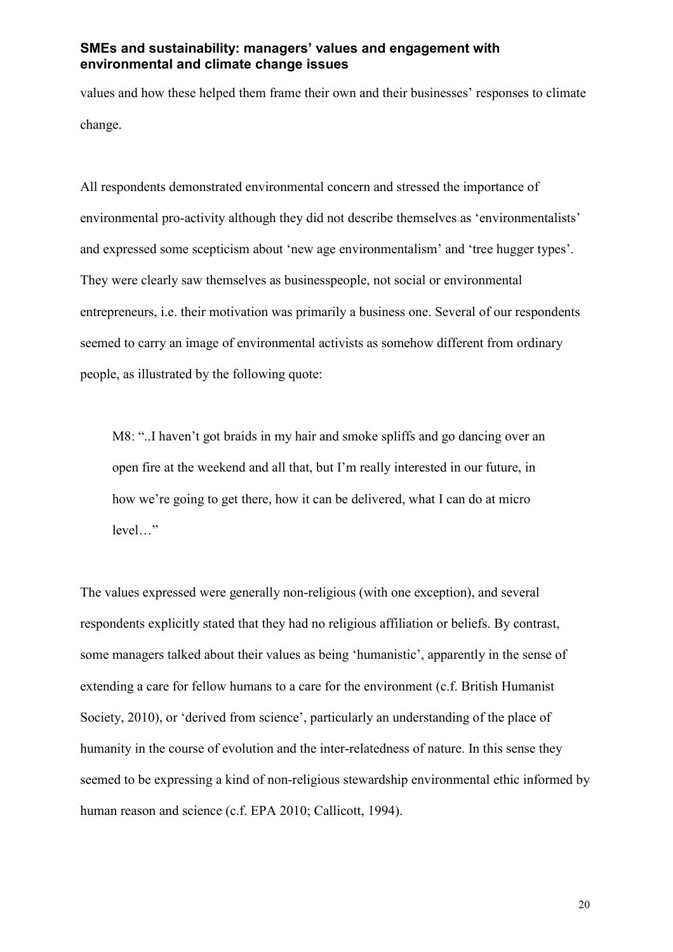values and how these helped them frame their own and their businesses' responses to climate change.

All respondents demonstrated environmental concern and stressed the importance of environmental pro-activity although they did not describe themselves as 'environmentalists' and expressed some scepticism about 'new age environmentalism' and 'tree hugger types'. They were clearly saw themselves as businesspeople, not social or environmental entrepreneurs, i.e. their motivation was primarily a business one. Several of our respondents seemed to carry an image of environmental activists as somehow different from ordinary people, as illustrated by the following quote:

M8: "..I haven't got braids in my hair and smoke spliffs and go dancing over an open fire at the weekend and all that, but I'm really interested in our future, in how we're going to get there, how it can be delivered, what I can do at micro level…"

The values expressed were generally non-religious (with one exception), and several respondents explicitly stated that they had no religious affiliation or beliefs. By contrast, some managers talked about their values as being 'humanistic', apparently in the sense of extending a care for fellow humans to a care for the environment (c.f. British Humanist Society, 2010), or 'derived from science', particularly an understanding of the place of humanity in the course of evolution and the inter-relatedness of nature. In this sense they seemed to be expressing a kind of non-religious stewardship environmental ethic informed by human reason and science (c.f. EPA 2010; Callicott, 1994).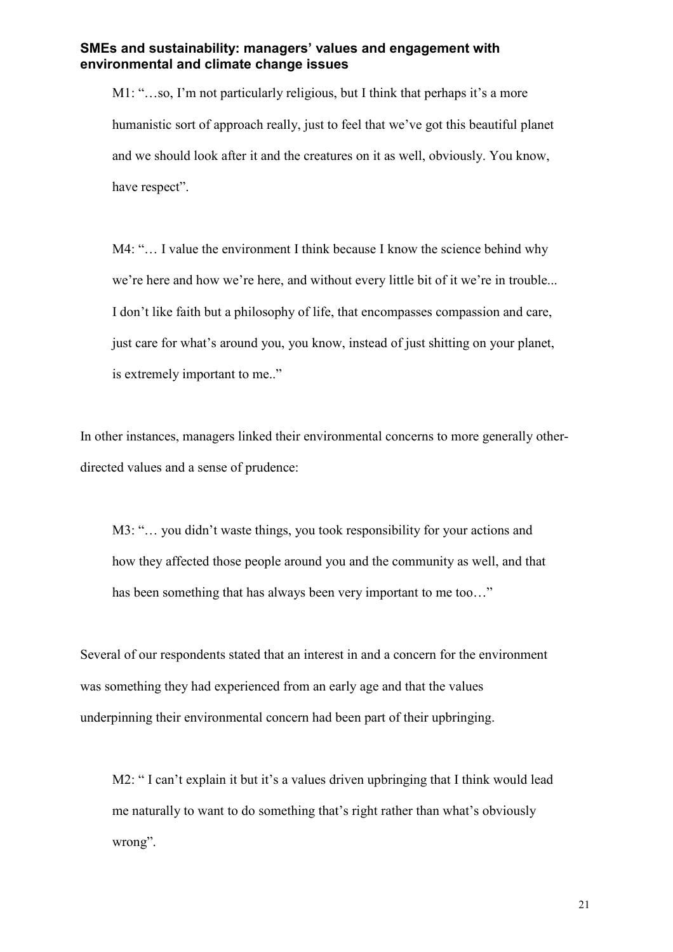M1: "...so, I'm not particularly religious, but I think that perhaps it's a more humanistic sort of approach really, just to feel that we've got this beautiful planet and we should look after it and the creatures on it as well, obviously. You know, have respect".

M4: "... I value the environment I think because I know the science behind why we're here and how we're here, and without every little bit of it we're in trouble... I don't like faith but a philosophy of life, that encompasses compassion and care, just care for what's around you, you know, instead of just shitting on your planet, is extremely important to me.."

In other instances, managers linked their environmental concerns to more generally otherdirected values and a sense of prudence:

M3: "… you didn't waste things, you took responsibility for your actions and how they affected those people around you and the community as well, and that has been something that has always been very important to me too..."

Several of our respondents stated that an interest in and a concern for the environment was something they had experienced from an early age and that the values underpinning their environmental concern had been part of their upbringing.

M2: "I can't explain it but it's a values driven upbringing that I think would lead me naturally to want to do something that's right rather than what's obviously wrong".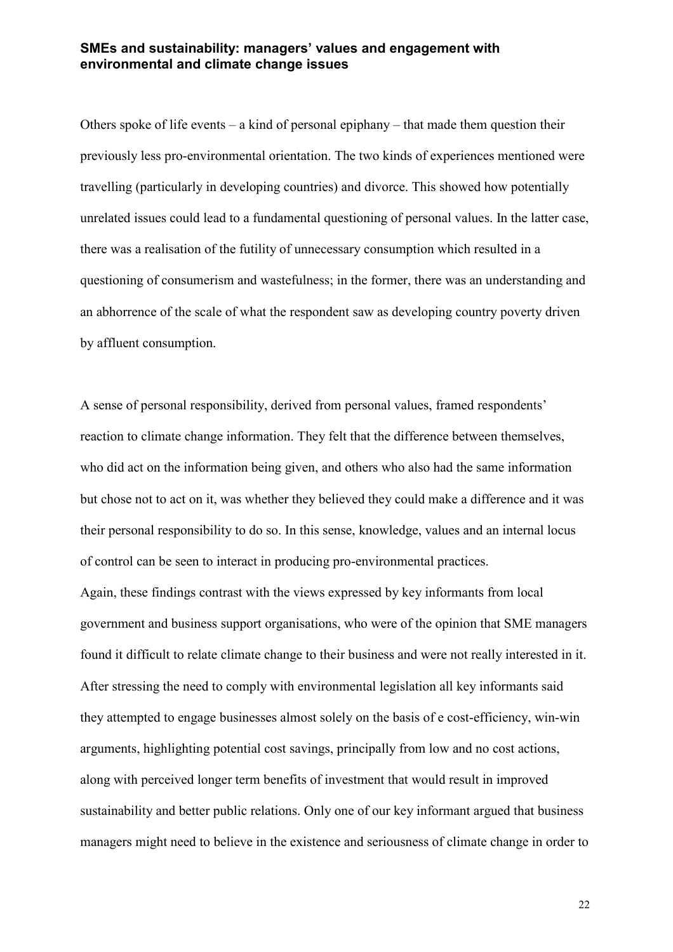Others spoke of life events – a kind of personal epiphany – that made them question their previously less pro-environmental orientation. The two kinds of experiences mentioned were travelling (particularly in developing countries) and divorce. This showed how potentially unrelated issues could lead to a fundamental questioning of personal values. In the latter case, there was a realisation of the futility of unnecessary consumption which resulted in a questioning of consumerism and wastefulness; in the former, there was an understanding and an abhorrence of the scale of what the respondent saw as developing country poverty driven by affluent consumption.

A sense of personal responsibility, derived from personal values, framed respondents' reaction to climate change information. They felt that the difference between themselves, who did act on the information being given, and others who also had the same information but chose not to act on it, was whether they believed they could make a difference and it was their personal responsibility to do so. In this sense, knowledge, values and an internal locus of control can be seen to interact in producing pro-environmental practices.

Again, these findings contrast with the views expressed by key informants from local government and business support organisations, who were of the opinion that SME managers found it difficult to relate climate change to their business and were not really interested in it. After stressing the need to comply with environmental legislation all key informants said they attempted to engage businesses almost solely on the basis of e cost-efficiency, win-win arguments, highlighting potential cost savings, principally from low and no cost actions, along with perceived longer term benefits of investment that would result in improved sustainability and better public relations. Only one of our key informant argued that business managers might need to believe in the existence and seriousness of climate change in order to

22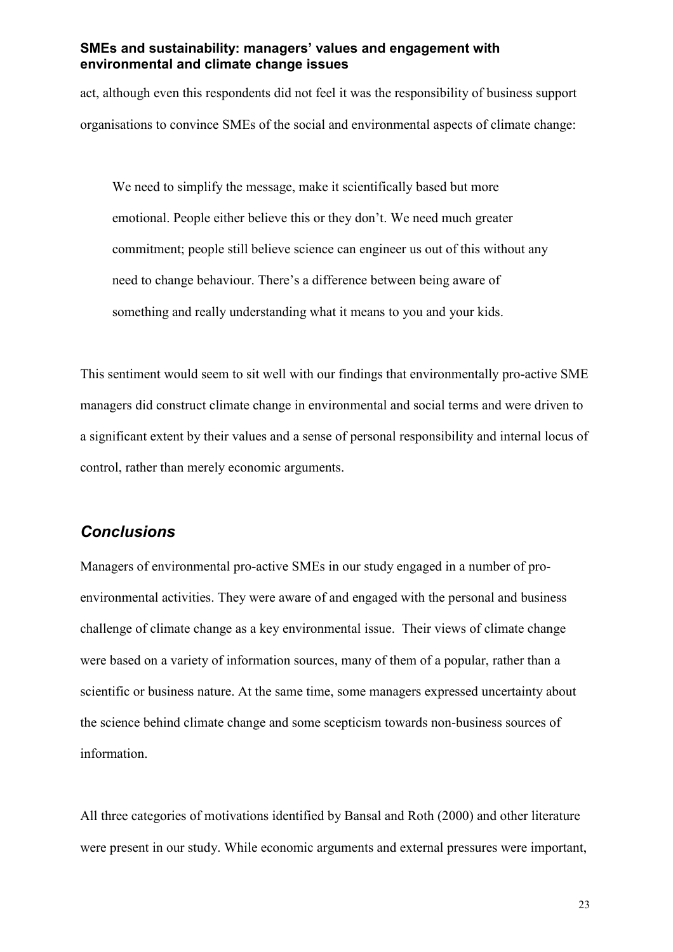act, although even this respondents did not feel it was the responsibility of business support organisations to convince SMEs of the social and environmental aspects of climate change:

We need to simplify the message, make it scientifically based but more emotional. People either believe this or they don't. We need much greater commitment; people still believe science can engineer us out of this without any need to change behaviour. There's a difference between being aware of something and really understanding what it means to you and your kids.

This sentiment would seem to sit well with our findings that environmentally pro-active SME managers did construct climate change in environmental and social terms and were driven to a significant extent by their values and a sense of personal responsibility and internal locus of control, rather than merely economic arguments.

# **Conclusions**

Managers of environmental pro-active SMEs in our study engaged in a number of proenvironmental activities. They were aware of and engaged with the personal and business challenge of climate change as a key environmental issue. Their views of climate change were based on a variety of information sources, many of them of a popular, rather than a scientific or business nature. At the same time, some managers expressed uncertainty about the science behind climate change and some scepticism towards non-business sources of information.

All three categories of motivations identified by Bansal and Roth (2000) and other literature were present in our study. While economic arguments and external pressures were important,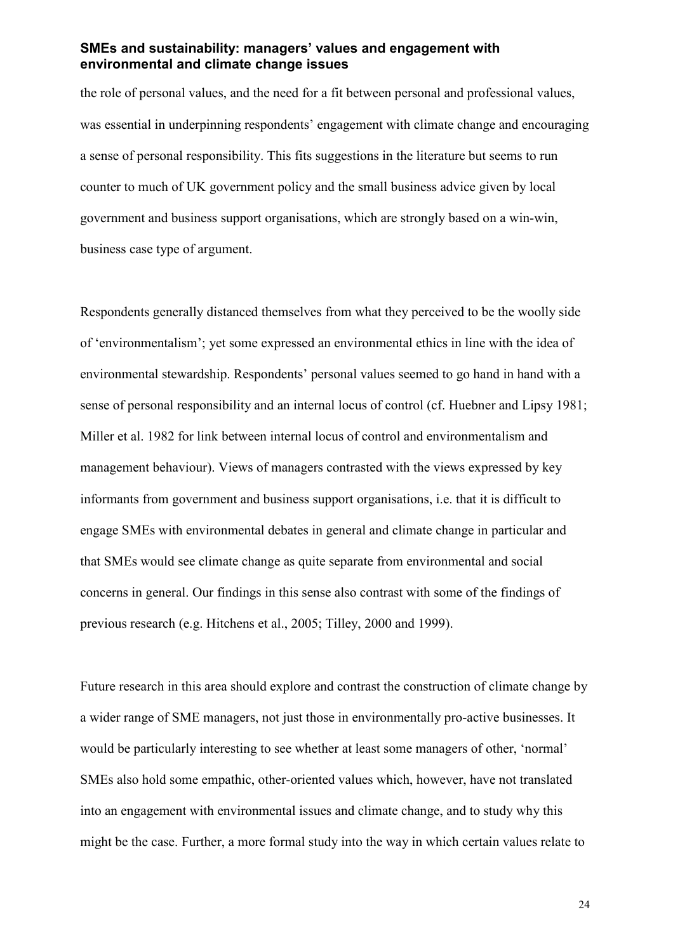the role of personal values, and the need for a fit between personal and professional values, was essential in underpinning respondents' engagement with climate change and encouraging a sense of personal responsibility. This fits suggestions in the literature but seems to run counter to much of UK government policy and the small business advice given by local government and business support organisations, which are strongly based on a win-win, business case type of argument.

Respondents generally distanced themselves from what they perceived to be the woolly side of 'environmentalism'; yet some expressed an environmental ethics in line with the idea of environmental stewardship. Respondents' personal values seemed to go hand in hand with a sense of personal responsibility and an internal locus of control (cf. Huebner and Lipsy 1981; Miller et al. 1982 for link between internal locus of control and environmentalism and management behaviour). Views of managers contrasted with the views expressed by key informants from government and business support organisations, i.e. that it is difficult to engage SMEs with environmental debates in general and climate change in particular and that SMEs would see climate change as quite separate from environmental and social concerns in general. Our findings in this sense also contrast with some of the findings of previous research (e.g. Hitchens et al., 2005; Tilley, 2000 and 1999).

Future research in this area should explore and contrast the construction of climate change by a wider range of SME managers, not just those in environmentally pro-active businesses. It would be particularly interesting to see whether at least some managers of other, 'normal' SMEs also hold some empathic, other-oriented values which, however, have not translated into an engagement with environmental issues and climate change, and to study why this might be the case. Further, a more formal study into the way in which certain values relate to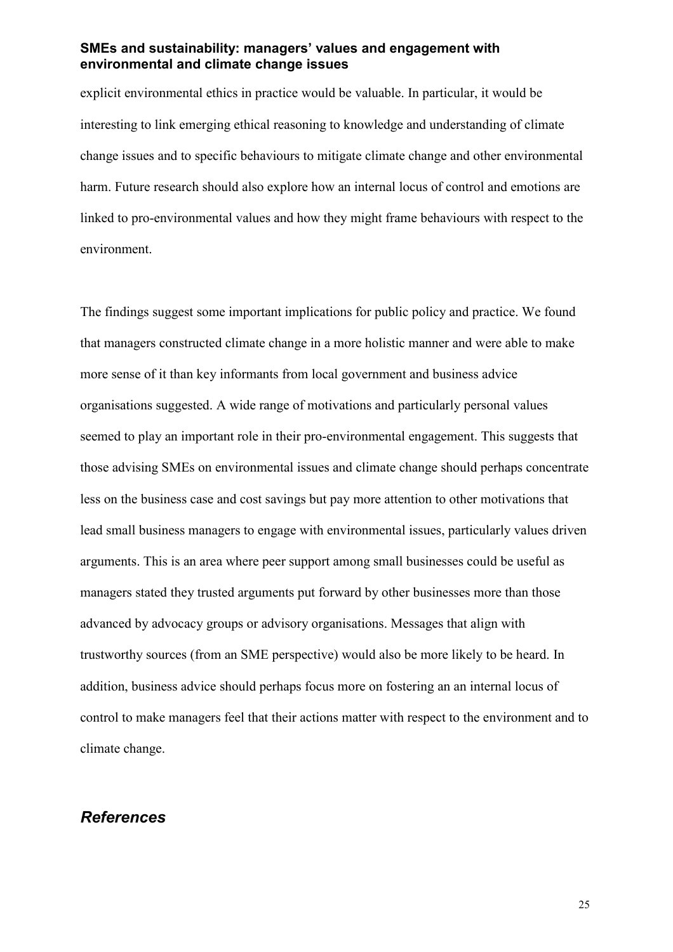explicit environmental ethics in practice would be valuable. In particular, it would be interesting to link emerging ethical reasoning to knowledge and understanding of climate change issues and to specific behaviours to mitigate climate change and other environmental harm. Future research should also explore how an internal locus of control and emotions are linked to pro-environmental values and how they might frame behaviours with respect to the environment.

The findings suggest some important implications for public policy and practice. We found that managers constructed climate change in a more holistic manner and were able to make more sense of it than key informants from local government and business advice organisations suggested. A wide range of motivations and particularly personal values seemed to play an important role in their pro-environmental engagement. This suggests that those advising SMEs on environmental issues and climate change should perhaps concentrate less on the business case and cost savings but pay more attention to other motivations that lead small business managers to engage with environmental issues, particularly values driven arguments. This is an area where peer support among small businesses could be useful as managers stated they trusted arguments put forward by other businesses more than those advanced by advocacy groups or advisory organisations. Messages that align with trustworthy sources (from an SME perspective) would also be more likely to be heard. In addition, business advice should perhaps focus more on fostering an an internal locus of control to make managers feel that their actions matter with respect to the environment and to climate change.

# **References**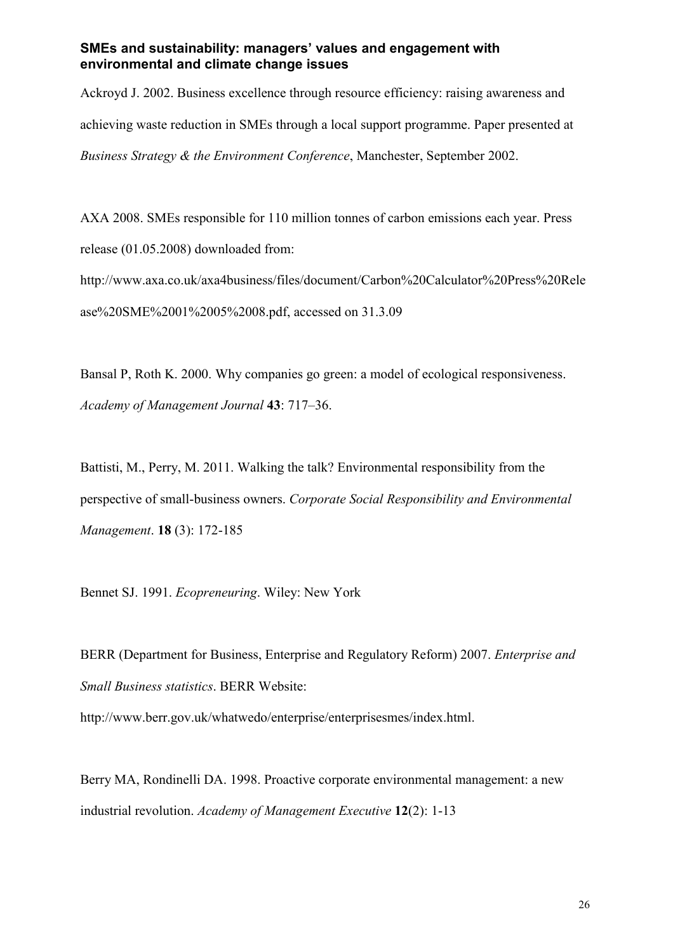Ackroyd J. 2002. Business excellence through resource efficiency: raising awareness and achieving waste reduction in SMEs through a local support programme. Paper presented at Business Strategy & the Environment Conference, Manchester, September 2002.

AXA 2008. SMEs responsible for 110 million tonnes of carbon emissions each year. Press release (01.05.2008) downloaded from:

http://www.axa.co.uk/axa4business/files/document/Carbon%20Calculator%20Press%20Rele ase%20SME%2001%2005%2008.pdf, accessed on 31.3.09

Bansal P, Roth K. 2000. Why companies go green: a model of ecological responsiveness. Academy of Management Journal 43: 717–36.

Battisti, M., Perry, M. 2011. Walking the talk? Environmental responsibility from the perspective of small-business owners. Corporate Social Responsibility and Environmental Management. 18 (3): 172-185

Bennet SJ. 1991. Ecopreneuring. Wiley: New York

BERR (Department for Business, Enterprise and Regulatory Reform) 2007. Enterprise and Small Business statistics. BERR Website:

http://www.berr.gov.uk/whatwedo/enterprise/enterprisesmes/index.html.

Berry MA, Rondinelli DA. 1998. Proactive corporate environmental management: a new industrial revolution. Academy of Management Executive 12(2): 1-13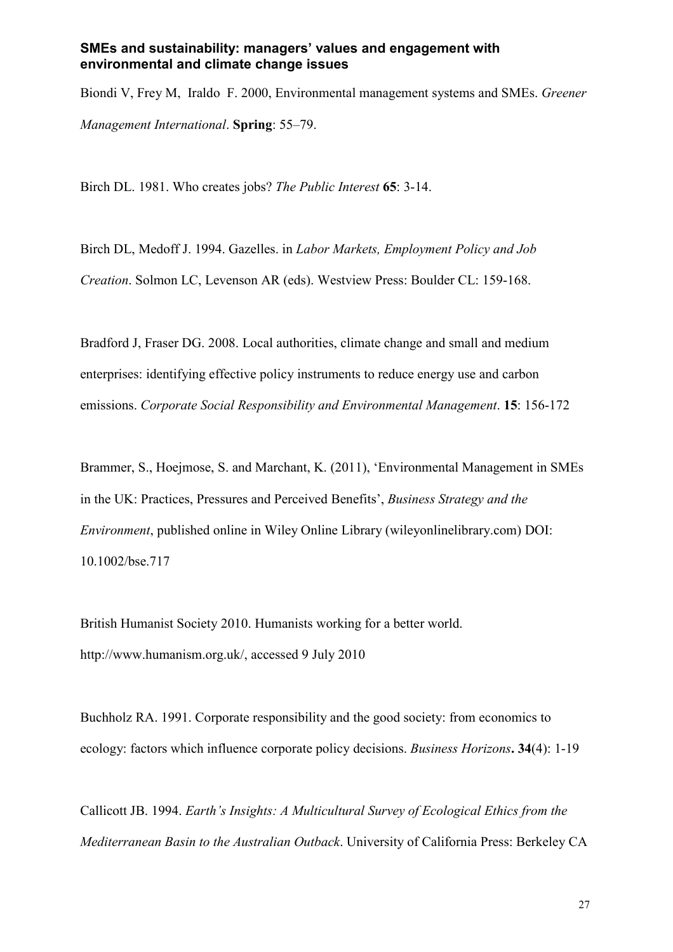Biondi V, Frey M, Iraldo F. 2000, Environmental management systems and SMEs. Greener Management International. Spring: 55–79.

Birch DL. 1981. Who creates jobs? The Public Interest 65: 3-14.

Birch DL, Medoff J. 1994. Gazelles. in Labor Markets, Employment Policy and Job Creation. Solmon LC, Levenson AR (eds). Westview Press: Boulder CL: 159-168.

Bradford J, Fraser DG. 2008. Local authorities, climate change and small and medium enterprises: identifying effective policy instruments to reduce energy use and carbon emissions. Corporate Social Responsibility and Environmental Management. 15: 156-172

Brammer, S., Hoejmose, S. and Marchant, K. (2011), 'Environmental Management in SMEs in the UK: Practices, Pressures and Perceived Benefits', Business Strategy and the Environment, published online in Wiley Online Library (wileyonlinelibrary.com) DOI: 10.1002/bse.717

British Humanist Society 2010. Humanists working for a better world. http://www.humanism.org.uk/, accessed 9 July 2010

Buchholz RA. 1991. Corporate responsibility and the good society: from economics to ecology: factors which influence corporate policy decisions. Business Horizons. 34(4): 1-19

Callicott JB. 1994. Earth's Insights: A Multicultural Survey of Ecological Ethics from the Mediterranean Basin to the Australian Outback. University of California Press: Berkeley CA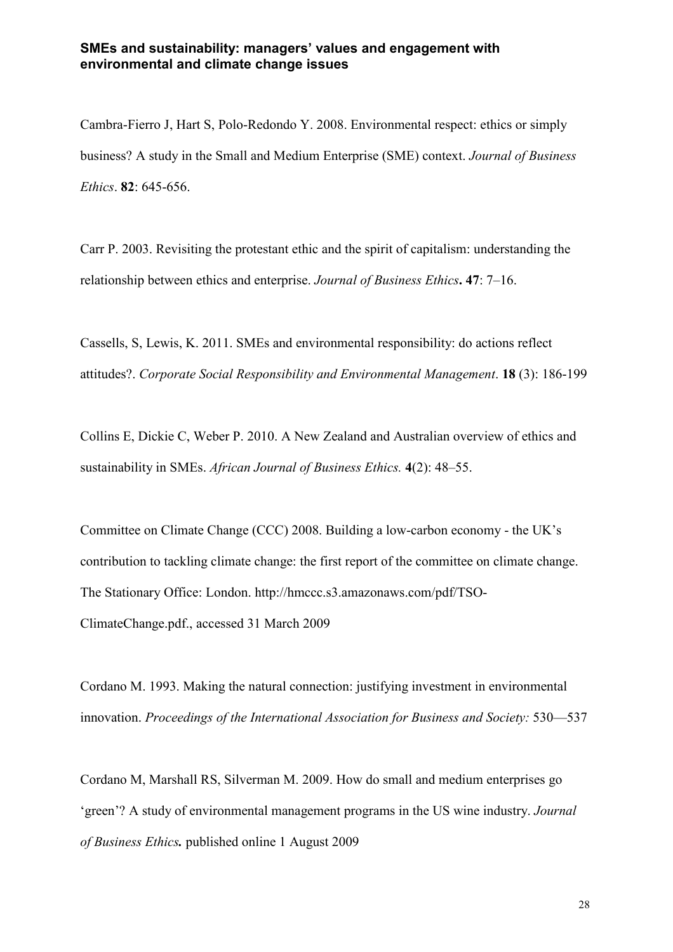Cambra-Fierro J, Hart S, Polo-Redondo Y. 2008. Environmental respect: ethics or simply business? A study in the Small and Medium Enterprise (SME) context. Journal of Business Ethics. 82: 645-656.

Carr P. 2003. Revisiting the protestant ethic and the spirit of capitalism: understanding the relationship between ethics and enterprise. Journal of Business Ethics. 47: 7–16.

Cassells, S, Lewis, K. 2011. SMEs and environmental responsibility: do actions reflect attitudes?. Corporate Social Responsibility and Environmental Management. 18 (3): 186-199

Collins E, Dickie C, Weber P. 2010. A New Zealand and Australian overview of ethics and sustainability in SMEs. African Journal of Business Ethics. 4(2): 48–55.

Committee on Climate Change (CCC) 2008. Building a low-carbon economy - the UK's contribution to tackling climate change: the first report of the committee on climate change. The Stationary Office: London. http://hmccc.s3.amazonaws.com/pdf/TSO-ClimateChange.pdf., accessed 31 March 2009

Cordano M. 1993. Making the natural connection: justifying investment in environmental innovation. Proceedings of the International Association for Business and Society: 530—537

Cordano M, Marshall RS, Silverman M. 2009. How do small and medium enterprises go 'green'? A study of environmental management programs in the US wine industry. Journal of Business Ethics. published online 1 August 2009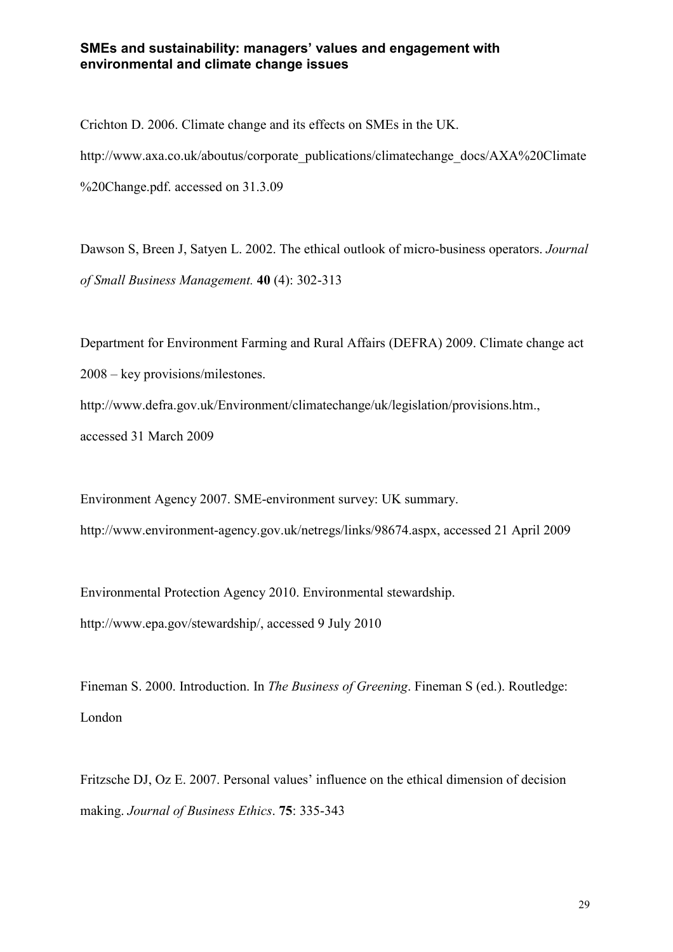Crichton D. 2006. Climate change and its effects on SMEs in the UK. http://www.axa.co.uk/aboutus/corporate\_publications/climatechange\_docs/AXA%20Climate %20Change.pdf. accessed on 31.3.09

Dawson S, Breen J, Satyen L. 2002. The ethical outlook of micro-business operators. Journal of Small Business Management. 40 (4): 302-313

Department for Environment Farming and Rural Affairs (DEFRA) 2009. Climate change act 2008 – key provisions/milestones. http://www.defra.gov.uk/Environment/climatechange/uk/legislation/provisions.htm.,

accessed 31 March 2009

Environment Agency 2007. SME-environment survey: UK summary.

http://www.environment-agency.gov.uk/netregs/links/98674.aspx, accessed 21 April 2009

Environmental Protection Agency 2010. Environmental stewardship. http://www.epa.gov/stewardship/, accessed 9 July 2010

Fineman S. 2000. Introduction. In The Business of Greening. Fineman S (ed.). Routledge: London

Fritzsche DJ, Oz E. 2007. Personal values' influence on the ethical dimension of decision making. Journal of Business Ethics. 75: 335-343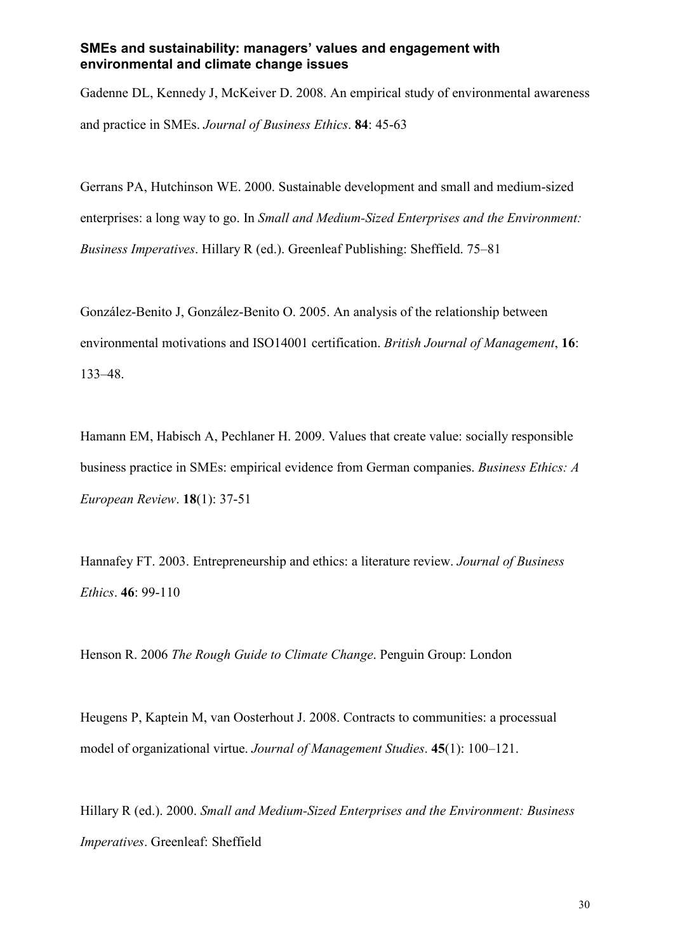Gadenne DL, Kennedy J, McKeiver D. 2008. An empirical study of environmental awareness and practice in SMEs. Journal of Business Ethics. 84: 45-63

Gerrans PA, Hutchinson WE. 2000. Sustainable development and small and medium-sized enterprises: a long way to go. In Small and Medium-Sized Enterprises and the Environment: Business Imperatives. Hillary R (ed.). Greenleaf Publishing: Sheffield. 75–81

González-Benito J, González-Benito O. 2005. An analysis of the relationship between environmental motivations and ISO14001 certification. British Journal of Management, 16: 133–48.

Hamann EM, Habisch A, Pechlaner H. 2009. Values that create value: socially responsible business practice in SMEs: empirical evidence from German companies. Business Ethics: A European Review. 18(1): 37-51

Hannafey FT. 2003. Entrepreneurship and ethics: a literature review. Journal of Business Ethics. 46: 99-110

Henson R. 2006 The Rough Guide to Climate Change. Penguin Group: London

Heugens P, Kaptein M, van Oosterhout J. 2008. Contracts to communities: a processual model of organizational virtue. Journal of Management Studies. 45(1): 100–121.

Hillary R (ed.). 2000. Small and Medium-Sized Enterprises and the Environment: Business Imperatives. Greenleaf: Sheffield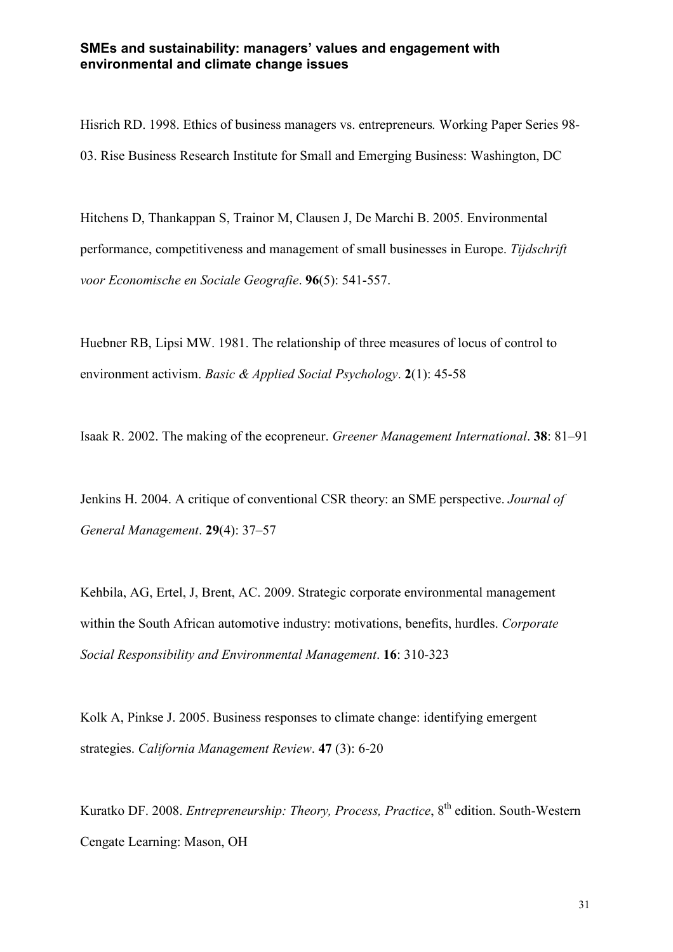Hisrich RD. 1998. Ethics of business managers vs. entrepreneurs. Working Paper Series 98- 03. Rise Business Research Institute for Small and Emerging Business: Washington, DC

Hitchens D, Thankappan S, Trainor M, Clausen J, De Marchi B. 2005. Environmental performance, competitiveness and management of small businesses in Europe. Tijdschrift voor Economische en Sociale Geografie. 96(5): 541-557.

Huebner RB, Lipsi MW. 1981. The relationship of three measures of locus of control to environment activism. Basic & Applied Social Psychology. 2(1): 45-58

Isaak R. 2002. The making of the ecopreneur. Greener Management International. 38: 81–91

Jenkins H. 2004. A critique of conventional CSR theory: an SME perspective. Journal of General Management. 29(4): 37–57

Kehbila, AG, Ertel, J, Brent, AC. 2009. Strategic corporate environmental management within the South African automotive industry: motivations, benefits, hurdles. Corporate Social Responsibility and Environmental Management. 16: 310-323

Kolk A, Pinkse J. 2005. Business responses to climate change: identifying emergent strategies. California Management Review. 47 (3): 6-20

Kuratko DF. 2008. *Entrepreneurship: Theory, Process, Practice*, 8<sup>th</sup> edition. South-Western Cengate Learning: Mason, OH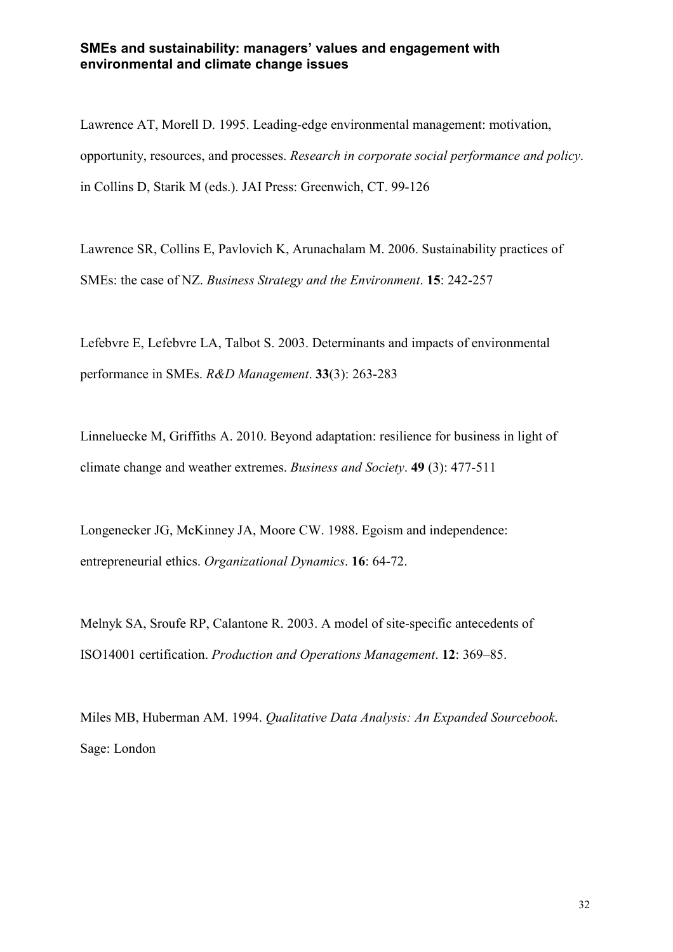Lawrence AT, Morell D. 1995. Leading-edge environmental management: motivation, opportunity, resources, and processes. Research in corporate social performance and policy. in Collins D, Starik M (eds.). JAI Press: Greenwich, CT. 99-126

Lawrence SR, Collins E, Pavlovich K, Arunachalam M. 2006. Sustainability practices of SMEs: the case of NZ. Business Strategy and the Environment. 15: 242-257

Lefebvre E, Lefebvre LA, Talbot S. 2003. Determinants and impacts of environmental performance in SMEs. R&D Management. 33(3): 263-283

Linneluecke M, Griffiths A. 2010. Beyond adaptation: resilience for business in light of climate change and weather extremes. Business and Society. 49 (3): 477-511

Longenecker JG, McKinney JA, Moore CW. 1988. Egoism and independence: entrepreneurial ethics. Organizational Dynamics. 16: 64-72.

Melnyk SA, Sroufe RP, Calantone R. 2003. A model of site-specific antecedents of ISO14001 certification. Production and Operations Management. 12: 369–85.

Miles MB, Huberman AM. 1994. Qualitative Data Analysis: An Expanded Sourcebook. Sage: London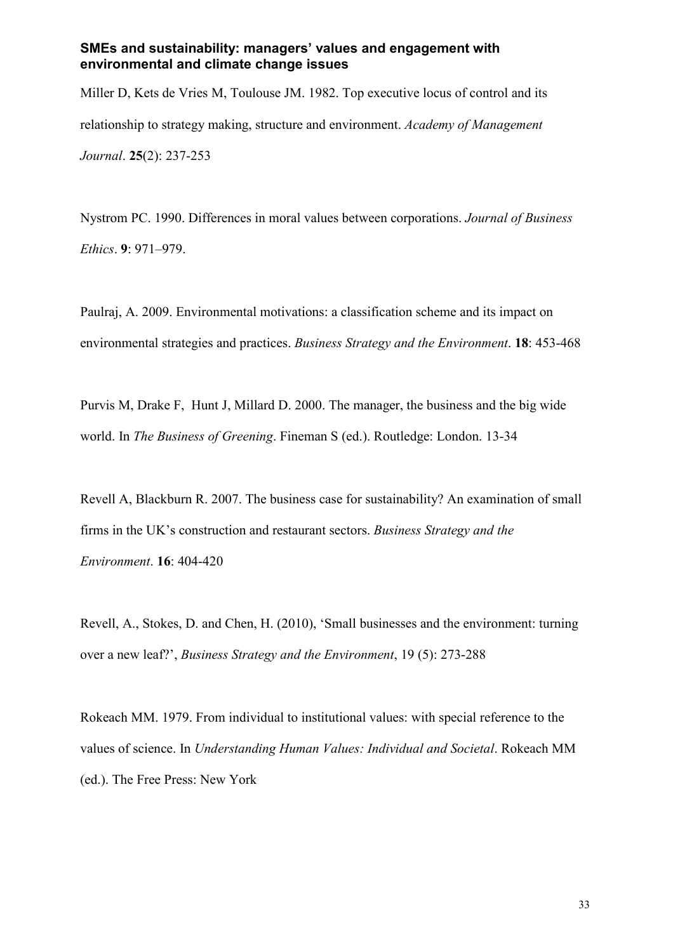Miller D, Kets de Vries M, Toulouse JM. 1982. Top executive locus of control and its relationship to strategy making, structure and environment. Academy of Management Journal. 25(2): 237-253

Nystrom PC. 1990. Differences in moral values between corporations. Journal of Business Ethics. 9: 971–979.

Paulraj, A. 2009. Environmental motivations: a classification scheme and its impact on environmental strategies and practices. Business Strategy and the Environment. 18: 453-468

Purvis M, Drake F, Hunt J, Millard D. 2000. The manager, the business and the big wide world. In The Business of Greening. Fineman S (ed.). Routledge: London. 13-34

Revell A, Blackburn R. 2007. The business case for sustainability? An examination of small firms in the UK's construction and restaurant sectors. Business Strategy and the Environment. 16: 404-420

Revell, A., Stokes, D. and Chen, H. (2010), 'Small businesses and the environment: turning over a new leaf?', Business Strategy and the Environment, 19 (5): 273-288

Rokeach MM. 1979. From individual to institutional values: with special reference to the values of science. In Understanding Human Values: Individual and Societal. Rokeach MM (ed.). The Free Press: New York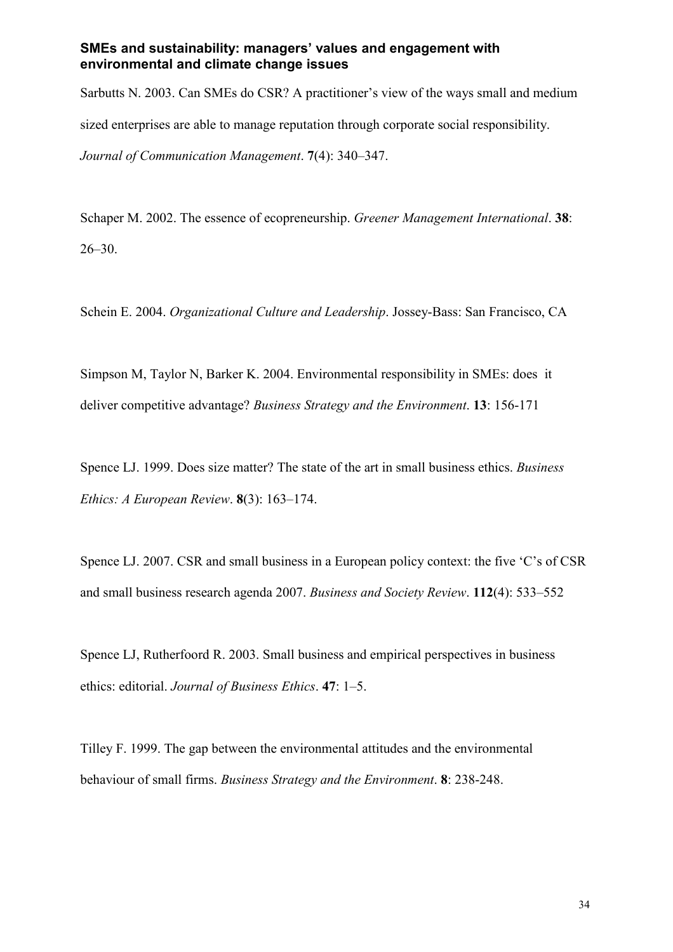Sarbutts N. 2003. Can SMEs do CSR? A practitioner's view of the ways small and medium sized enterprises are able to manage reputation through corporate social responsibility. Journal of Communication Management. 7(4): 340–347.

Schaper M. 2002. The essence of ecopreneurship. *Greener Management International*. 38: 26–30.

Schein E. 2004. Organizational Culture and Leadership. Jossey-Bass: San Francisco, CA

Simpson M, Taylor N, Barker K. 2004. Environmental responsibility in SMEs: does it deliver competitive advantage? Business Strategy and the Environment. 13: 156-171

Spence LJ. 1999. Does size matter? The state of the art in small business ethics. Business Ethics: A European Review. 8(3): 163–174.

Spence LJ. 2007. CSR and small business in a European policy context: the five 'C's of CSR and small business research agenda 2007. Business and Society Review. 112(4): 533–552

Spence LJ, Rutherfoord R. 2003. Small business and empirical perspectives in business ethics: editorial. Journal of Business Ethics. 47: 1–5.

Tilley F. 1999. The gap between the environmental attitudes and the environmental behaviour of small firms. Business Strategy and the Environment. 8: 238-248.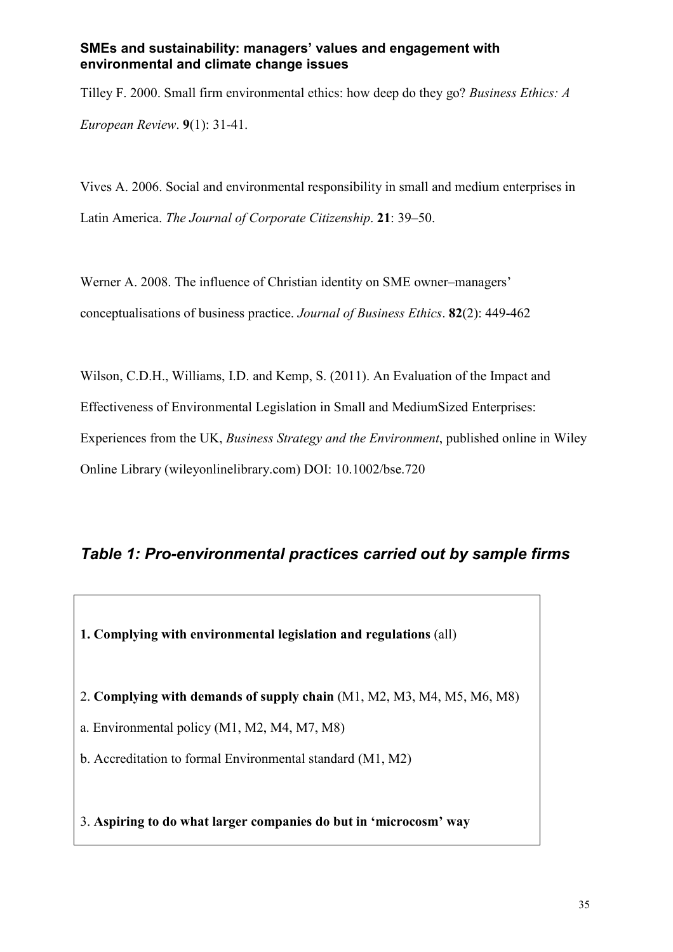Tilley F. 2000. Small firm environmental ethics: how deep do they go? Business Ethics: A European Review. 9(1): 31-41.

Vives A. 2006. Social and environmental responsibility in small and medium enterprises in Latin America. The Journal of Corporate Citizenship. 21: 39–50.

Werner A. 2008. The influence of Christian identity on SME owner–managers' conceptualisations of business practice. Journal of Business Ethics. 82(2): 449-462

Wilson, C.D.H., Williams, I.D. and Kemp, S. (2011). An Evaluation of the Impact and Effectiveness of Environmental Legislation in Small and MediumSized Enterprises: Experiences from the UK, Business Strategy and the Environment, published online in Wiley Online Library (wileyonlinelibrary.com) DOI: 10.1002/bse.720

# Table 1: Pro-environmental practices carried out by sample firms

1. Complying with environmental legislation and regulations (all)

2. Complying with demands of supply chain (M1, M2, M3, M4, M5, M6, M8)

a. Environmental policy (M1, M2, M4, M7, M8)

b. Accreditation to formal Environmental standard (M1, M2)

3. Aspiring to do what larger companies do but in 'microcosm' way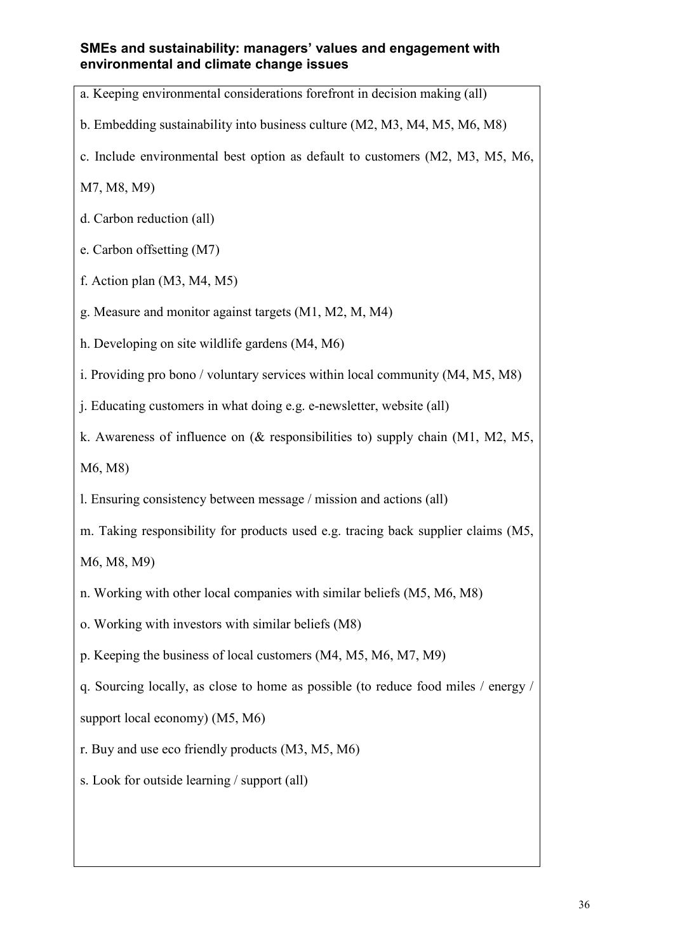| a. Keeping environmental considerations forefront in decision making (all)         |
|------------------------------------------------------------------------------------|
| b. Embedding sustainability into business culture (M2, M3, M4, M5, M6, M8)         |
| c. Include environmental best option as default to customers (M2, M3, M5, M6,      |
| M7, M8, M9)                                                                        |
| d. Carbon reduction (all)                                                          |
| e. Carbon offsetting (M7)                                                          |
| f. Action plan (M3, M4, M5)                                                        |
| g. Measure and monitor against targets (M1, M2, M, M4)                             |
| h. Developing on site wildlife gardens (M4, M6)                                    |
| i. Providing pro bono / voluntary services within local community (M4, M5, M8)     |
| j. Educating customers in what doing e.g. e-newsletter, website (all)              |
| k. Awareness of influence on $(X$ responsibilities to) supply chain $(M1, M2, M5,$ |
| M6, M8)                                                                            |
| 1. Ensuring consistency between message / mission and actions (all)                |
| m. Taking responsibility for products used e.g. tracing back supplier claims (M5,  |
| M6, M8, M9)                                                                        |
| n. Working with other local companies with similar beliefs (M5, M6, M8)            |
| o. Working with investors with similar beliefs (M8)                                |
| p. Keeping the business of local customers (M4, M5, M6, M7, M9)                    |
| q. Sourcing locally, as close to home as possible (to reduce food miles / energy / |
| support local economy) (M5, M6)                                                    |
| r. Buy and use eco friendly products (M3, M5, M6)                                  |
| s. Look for outside learning / support (all)                                       |
|                                                                                    |
|                                                                                    |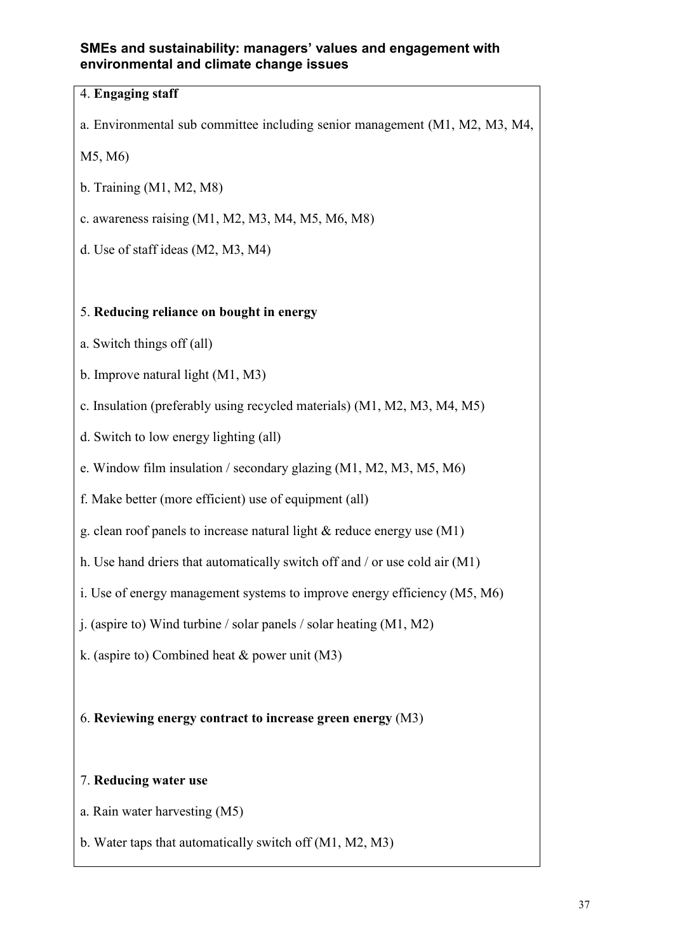### 4. Engaging staff

a. Environmental sub committee including senior management (M1, M2, M3, M4,

M5, M6)

- b. Training (M1, M2, M8)
- c. awareness raising (M1, M2, M3, M4, M5, M6, M8)
- d. Use of staff ideas (M2, M3, M4)

## 5. Reducing reliance on bought in energy

- a. Switch things off (all)
- b. Improve natural light (M1, M3)
- c. Insulation (preferably using recycled materials) (M1, M2, M3, M4, M5)
- d. Switch to low energy lighting (all)
- e. Window film insulation / secondary glazing (M1, M2, M3, M5, M6)
- f. Make better (more efficient) use of equipment (all)
- g. clean roof panels to increase natural light & reduce energy use (M1)
- h. Use hand driers that automatically switch off and / or use cold air (M1)
- i. Use of energy management systems to improve energy efficiency (M5, M6)
- j. (aspire to) Wind turbine / solar panels / solar heating (M1, M2)
- k. (aspire to) Combined heat & power unit (M3)

### 6. Reviewing energy contract to increase green energy (M3)

### 7. Reducing water use

- a. Rain water harvesting (M5)
- b. Water taps that automatically switch off (M1, M2, M3)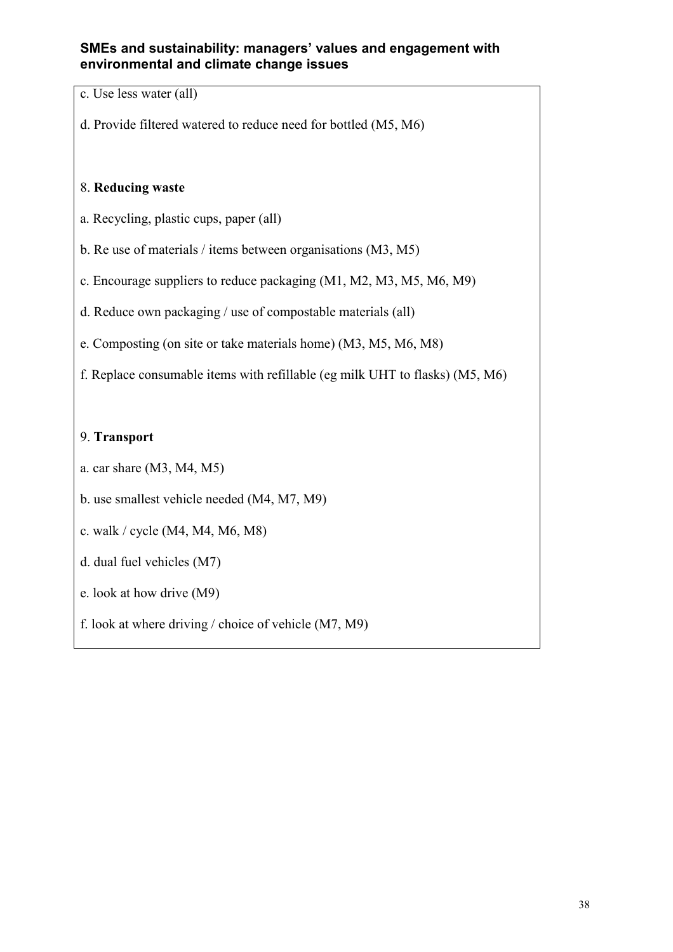c. Use less water (all)

d. Provide filtered watered to reduce need for bottled (M5, M6)

### 8. Reducing waste

- a. Recycling, plastic cups, paper (all)
- b. Re use of materials / items between organisations (M3, M5)
- c. Encourage suppliers to reduce packaging (M1, M2, M3, M5, M6, M9)
- d. Reduce own packaging / use of compostable materials (all)
- e. Composting (on site or take materials home) (M3, M5, M6, M8)
- f. Replace consumable items with refillable (eg milk UHT to flasks) (M5, M6)

## 9. Transport

- a. car share (M3, M4, M5)
- b. use smallest vehicle needed (M4, M7, M9)
- c. walk / cycle (M4, M4, M6, M8)
- d. dual fuel vehicles (M7)
- e. look at how drive (M9)
- f. look at where driving / choice of vehicle (M7, M9)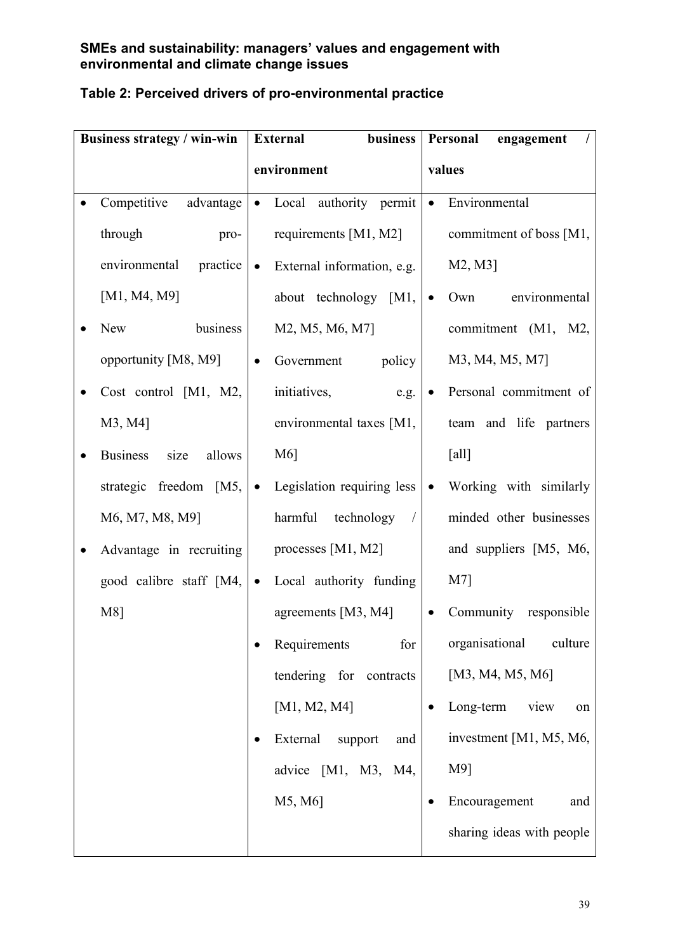| Business strategy / win-win |                                   | business<br><b>External</b> |                            |           | Personal<br>engagement     |
|-----------------------------|-----------------------------------|-----------------------------|----------------------------|-----------|----------------------------|
|                             |                                   |                             | environment                |           | values                     |
|                             | Competitive<br>advantage          |                             | • Local authority permit   | $\bullet$ | Environmental              |
|                             | through<br>pro-                   |                             | requirements [M1, M2]      |           | commitment of boss [M1,    |
|                             | environmental<br>practice         | $\bullet$                   | External information, e.g. |           | M2, M3]                    |
|                             | [M1, M4, M9]                      |                             | about technology [M1,      | $\bullet$ | environmental<br>Own       |
|                             | business<br><b>New</b>            |                             | M2, M5, M6, M7]            |           | commitment (M1, M2,        |
|                             | opportunity [M8, M9]              | $\bullet$                   | Government<br>policy       |           | M3, M4, M5, M7]            |
|                             | Cost control [M1, M2,             |                             | initiatives,<br>e.g.       |           | Personal commitment of     |
|                             | M3, M4]                           |                             | environmental taxes [M1,   |           | team and life partners     |
|                             | allows<br><b>Business</b><br>size |                             | M6                         |           | $\lceil \text{all} \rceil$ |
|                             | strategic freedom [M5,            | $\bullet$                   | Legislation requiring less |           | Working with similarly     |
|                             | M6, M7, M8, M9]                   |                             | harmful technology /       |           | minded other businesses    |
|                             | Advantage in recruiting           |                             | processes $[M1, M2]$       |           | and suppliers [M5, M6,     |
|                             | good calibre staff [M4,           | $\bullet$                   | Local authority funding    |           | M7                         |
|                             | $M8$ ]                            |                             | agreements [M3, M4]        |           | Community responsible      |
|                             |                                   |                             | Requirements<br>for        |           | organisational<br>culture  |
|                             |                                   |                             | tendering for contracts    |           | [M3, M4, M5, M6]           |
|                             |                                   |                             | [M1, M2, M4]               |           | Long-term<br>view<br>on    |
|                             |                                   |                             | External<br>support<br>and |           | investment [M1, M5, M6,    |
|                             |                                   |                             | advice $[M1, M3, M4]$      |           | $M9$ ]                     |
|                             |                                   |                             | M5, M6]                    |           | Encouragement<br>and       |
|                             |                                   |                             |                            |           | sharing ideas with people  |

# Table 2: Perceived drivers of pro-environmental practice